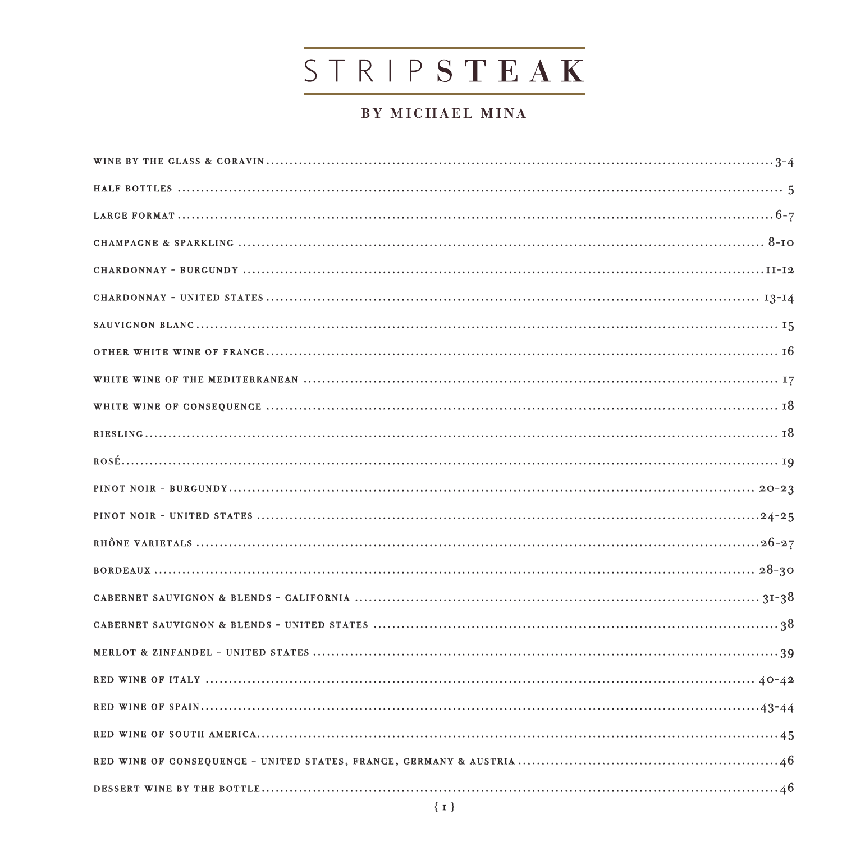# STRIPSTEAK

# BY MICHAEL MINA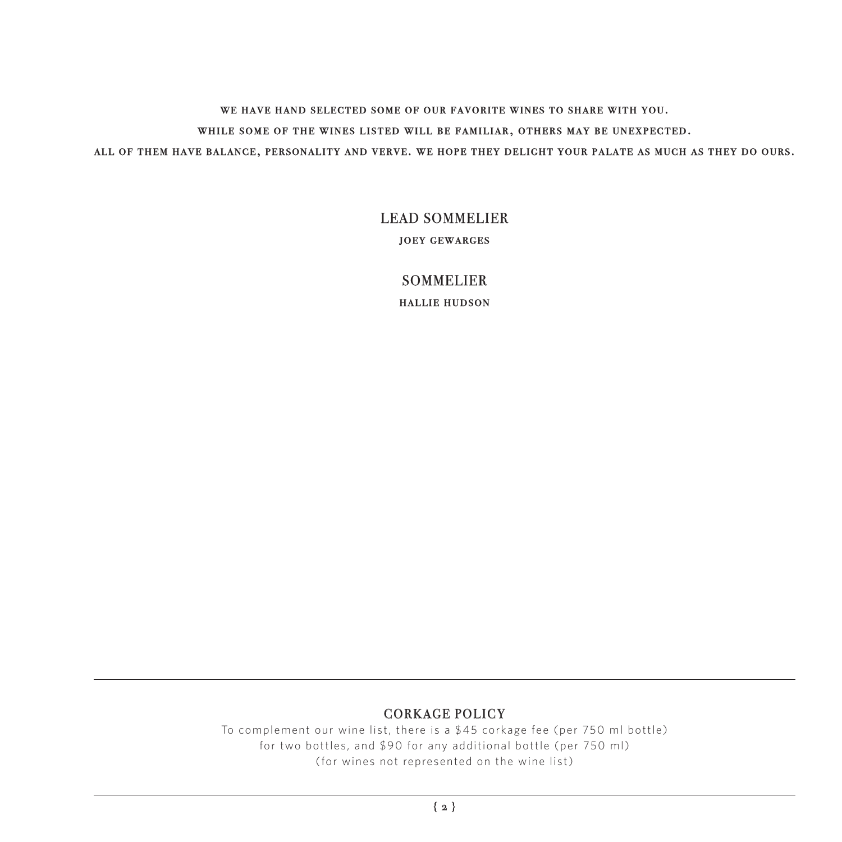we have hand selected some of our favorite wines to share with you. while some of the wines listed will be familiar, others may be unexpected.

all of them have balance, personality and verve. we hope they delight your palate as much as they do ours.

#### LEAD SOMMELIER

joey gewarges

SOMMELIER

hallie hudson

#### CORKAGE POLICY

To complement our wine list, there is a \$45 corkage fee (per 750 ml bottle) for two bottles, and \$90 for any additional bottle (per 750 ml) (for wines not represented on the wine list)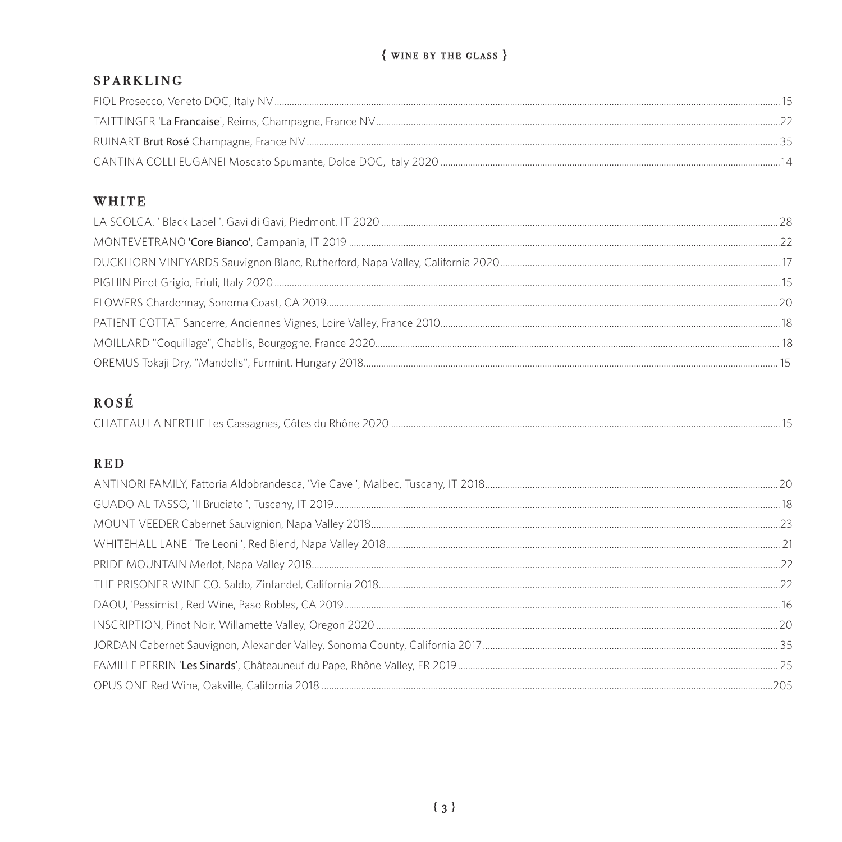# $\{$  WINE BY THE GLASS  $\}$

# **SPARKLING**

# WHITE

# ROSÉ

|--|--|--|

# **RED**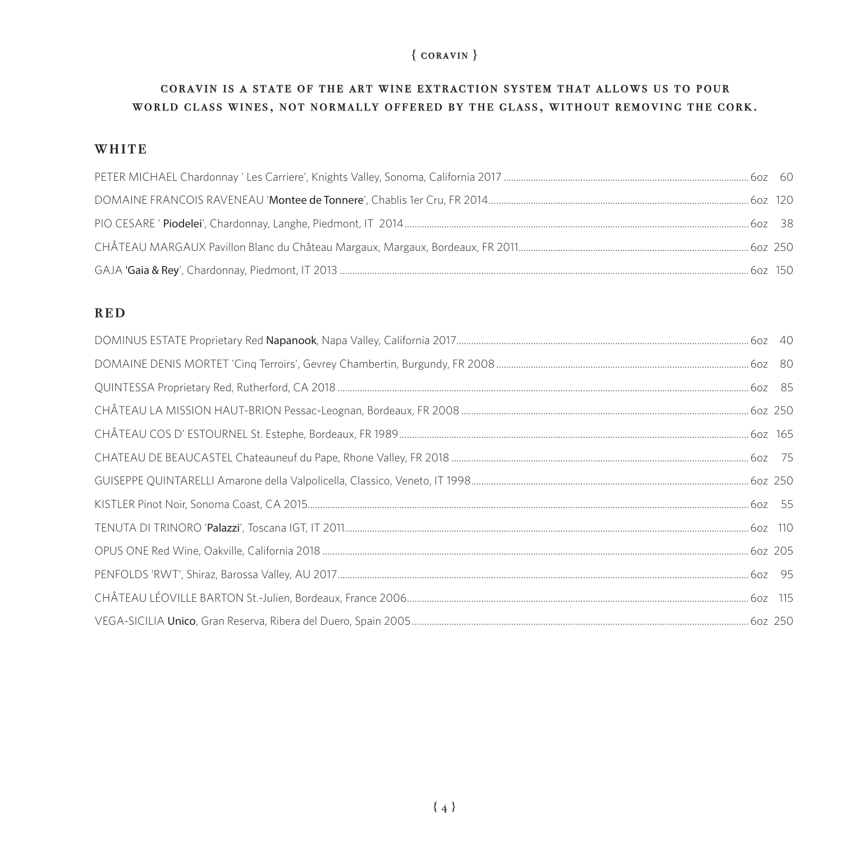# ${$  coravin  $}$

#### CORAVIN IS A STATE OF THE ART WINE EXTRACTION SYSTEM THAT ALLOWS US TO POUR world class wines, not normally offered by the glass, without removing the cork.

#### **WHITE**

#### **RED**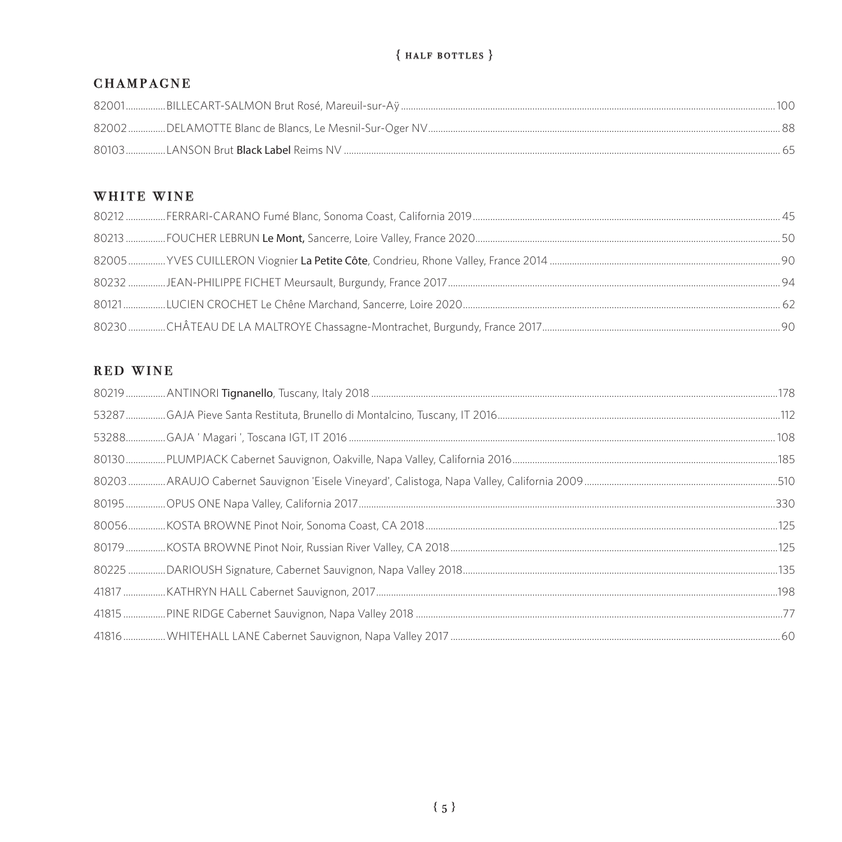# ${HALF$  BOTTLES  $}$

#### **CHAMPAGNE**

# WHITE WINE

# RED WINE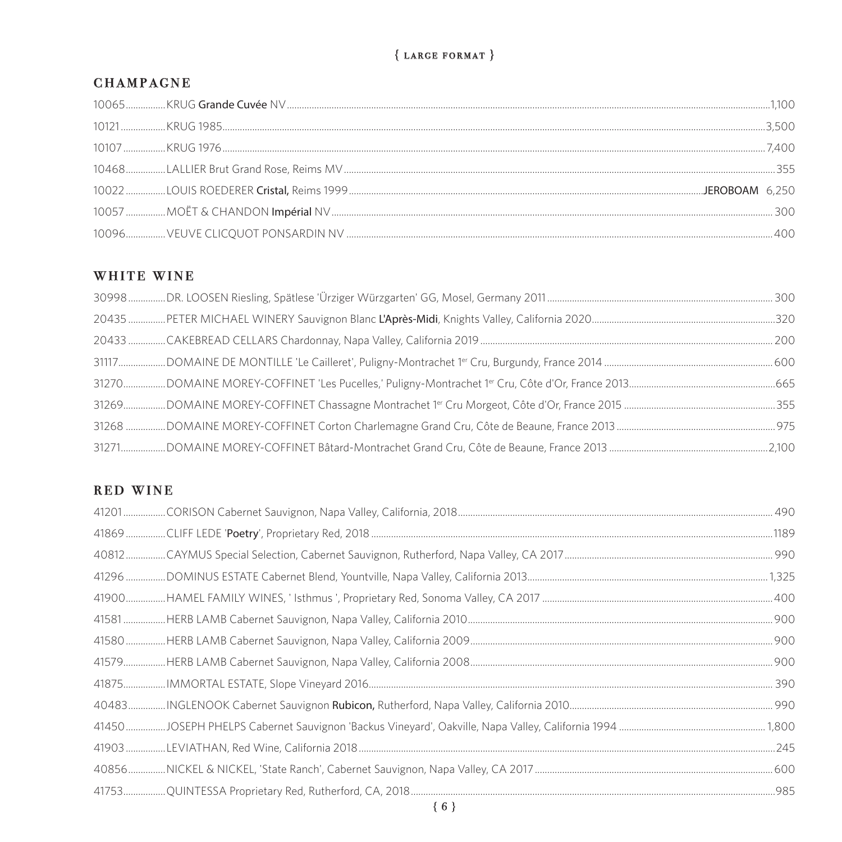# ${LARGE FORMAT}$

#### **CHAMPAGNE**

#### WHITE WINE

### RED WINE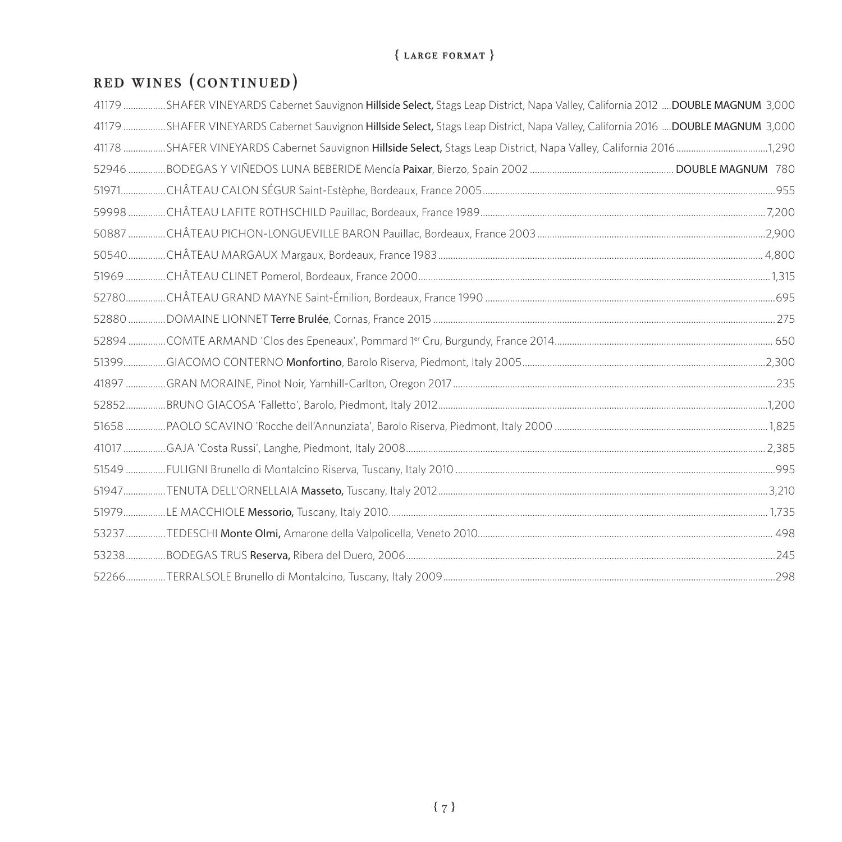# ${LARGE$  format  $}$

# red wines (continued)

| 41179 SHAFER VINEYARDS Cabernet Sauvignon Hillside Select, Stags Leap District, Napa Valley, California 2012 DOUBLE MAGNUM 3,000 |  |
|----------------------------------------------------------------------------------------------------------------------------------|--|
| 41179 SHAFER VINEYARDS Cabernet Sauvignon Hillside Select, Stags Leap District, Napa Valley, California 2016 DOUBLE MAGNUM 3,000 |  |
|                                                                                                                                  |  |
|                                                                                                                                  |  |
|                                                                                                                                  |  |
|                                                                                                                                  |  |
|                                                                                                                                  |  |
|                                                                                                                                  |  |
|                                                                                                                                  |  |
|                                                                                                                                  |  |
|                                                                                                                                  |  |
|                                                                                                                                  |  |
|                                                                                                                                  |  |
|                                                                                                                                  |  |
|                                                                                                                                  |  |
|                                                                                                                                  |  |
|                                                                                                                                  |  |
|                                                                                                                                  |  |
|                                                                                                                                  |  |
|                                                                                                                                  |  |
|                                                                                                                                  |  |
|                                                                                                                                  |  |
|                                                                                                                                  |  |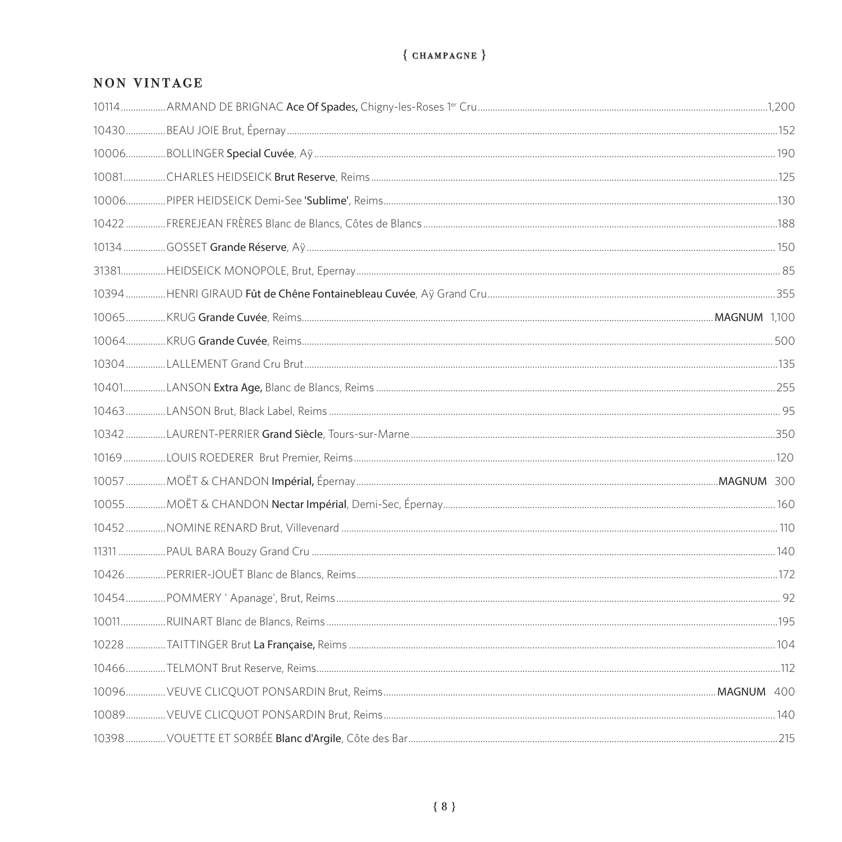# ${CHAMPACNE}$

### **NON VINTAGE**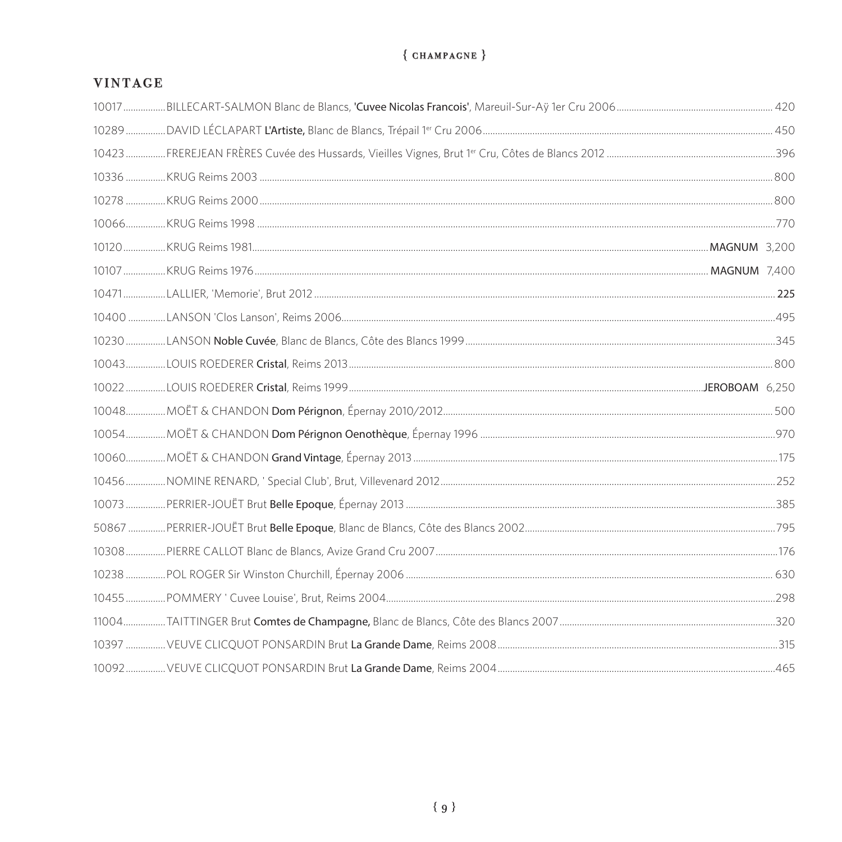# ${CHAMPACNE}$

### **VINTAGE**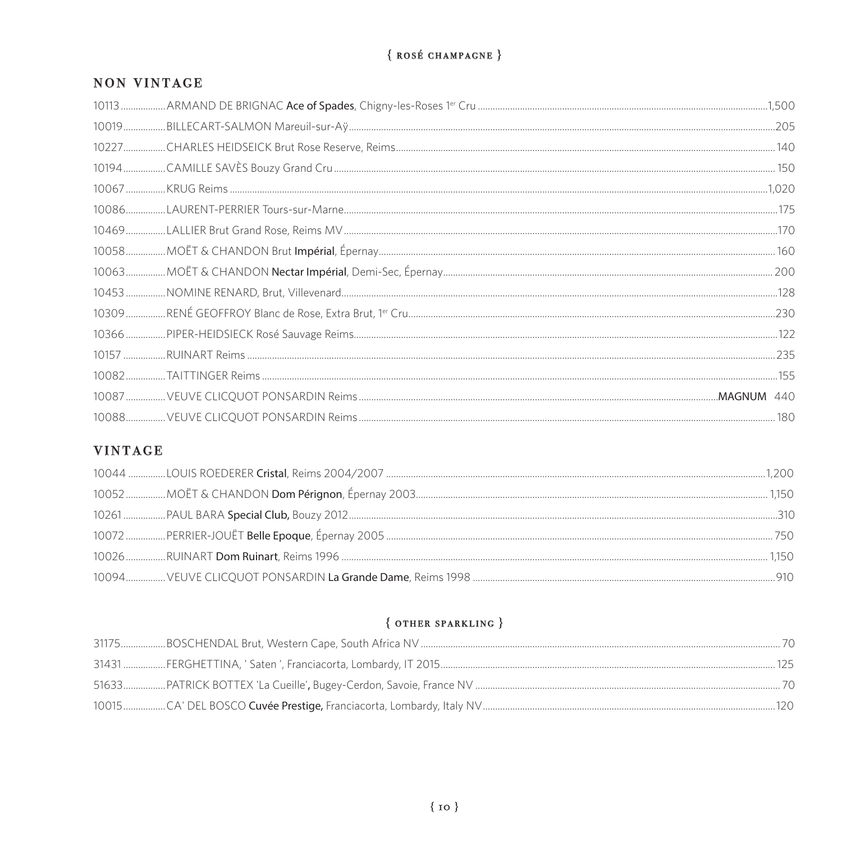# ${RosÉ CHAMPACNE}$

#### **NON VINTAGE**

# **VINTAGE**

# ${$  OTHER SPARKLING  $}$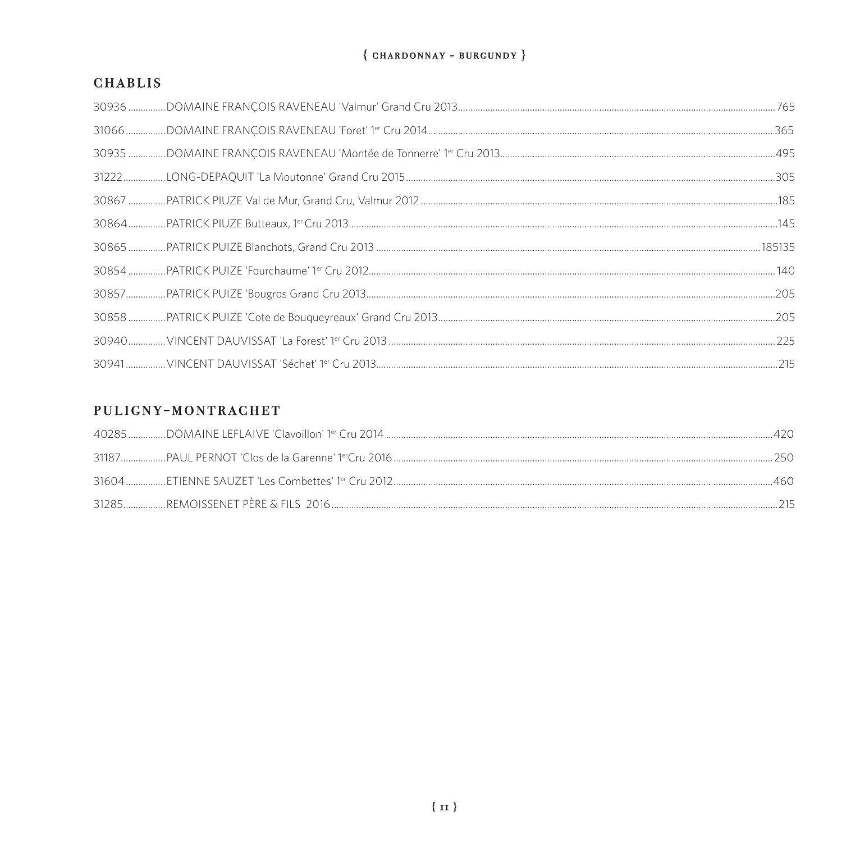#### ${$  CHARDONNAY - BURGUNDY  $}$

#### **CHABLIS**

# PULIGNY-MONTRACHET

|  | 460. |
|--|------|
|  |      |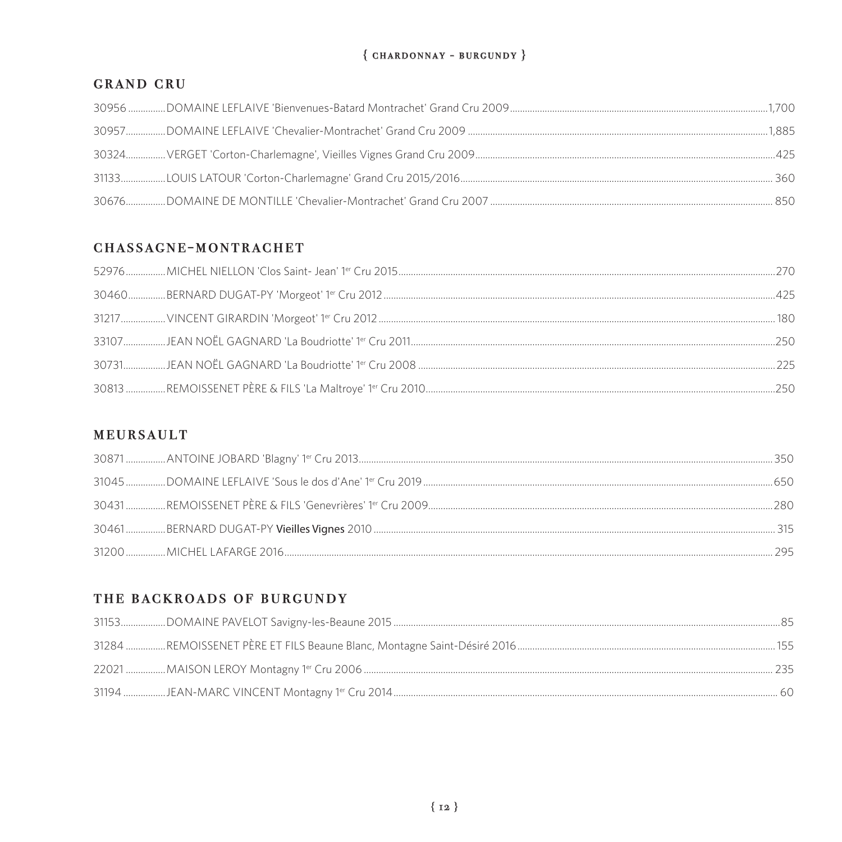#### ${$  CHARDONNAY - BURGUNDY  $}$

#### **GRAND CRU**

#### CHASSAGNE-MONTRACHET

| 425 |
|-----|
|     |
|     |
|     |
|     |

#### **MEURSAULT**

| つ95 |
|-----|

### THE BACKROADS OF BURGUNDY

| 735 |  |
|-----|--|
|     |  |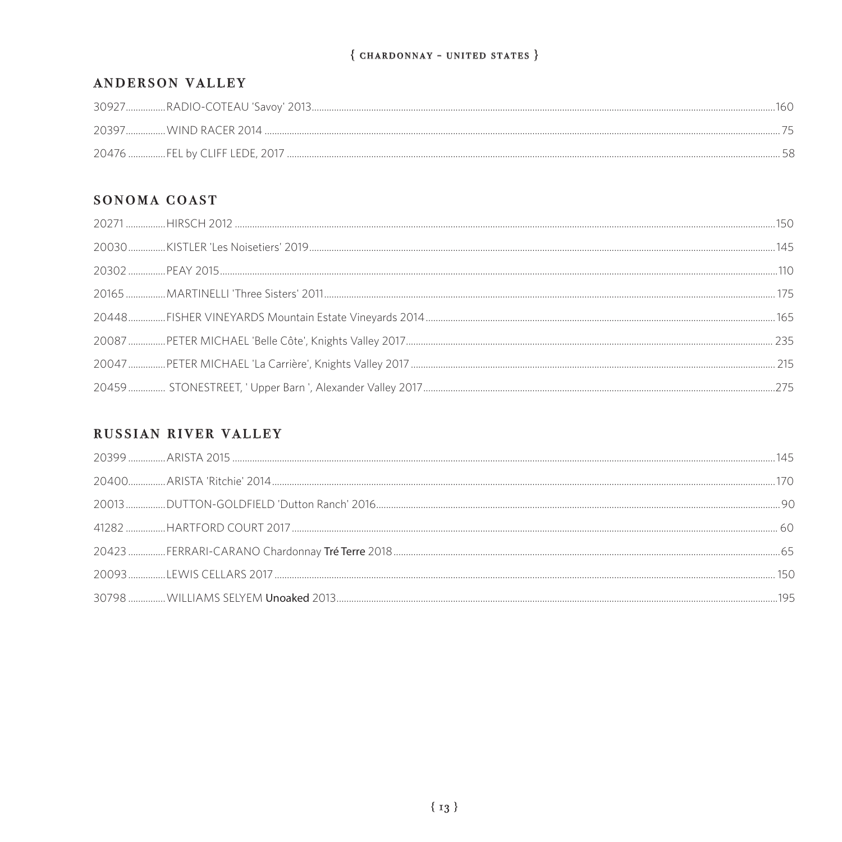#### ${$  CHARDONNAY - UNITED STATES  $}$

#### ANDERSON VALLEY

### SONOMA COAST

|  | 145 |
|--|-----|
|  |     |
|  |     |
|  |     |
|  |     |
|  |     |
|  |     |

#### RUSSIAN RIVER VALLEY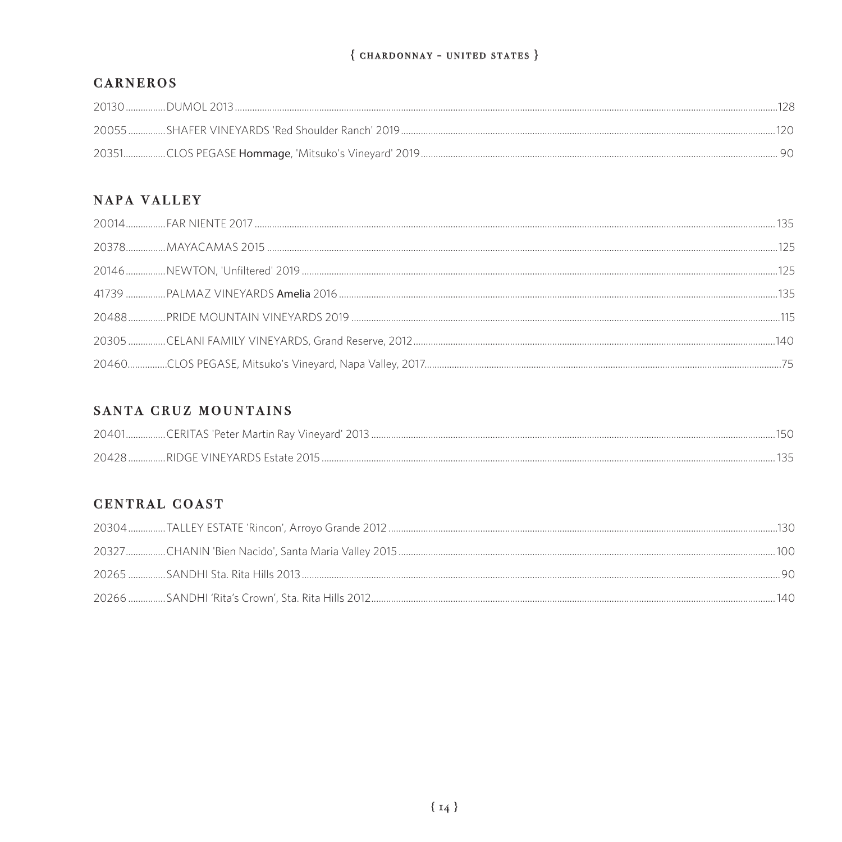#### ${$  CHARDONNAY - UNITED STATES  $}$

#### **CARNEROS**

# NAPA VALLEY

|  | 140 |
|--|-----|
|  |     |

# SANTA CRUZ MOUNTAINS

#### **CENTRAL COAST**

|       | -130 |
|-------|------|
| 10(2) |      |
|       |      |
|       | 140  |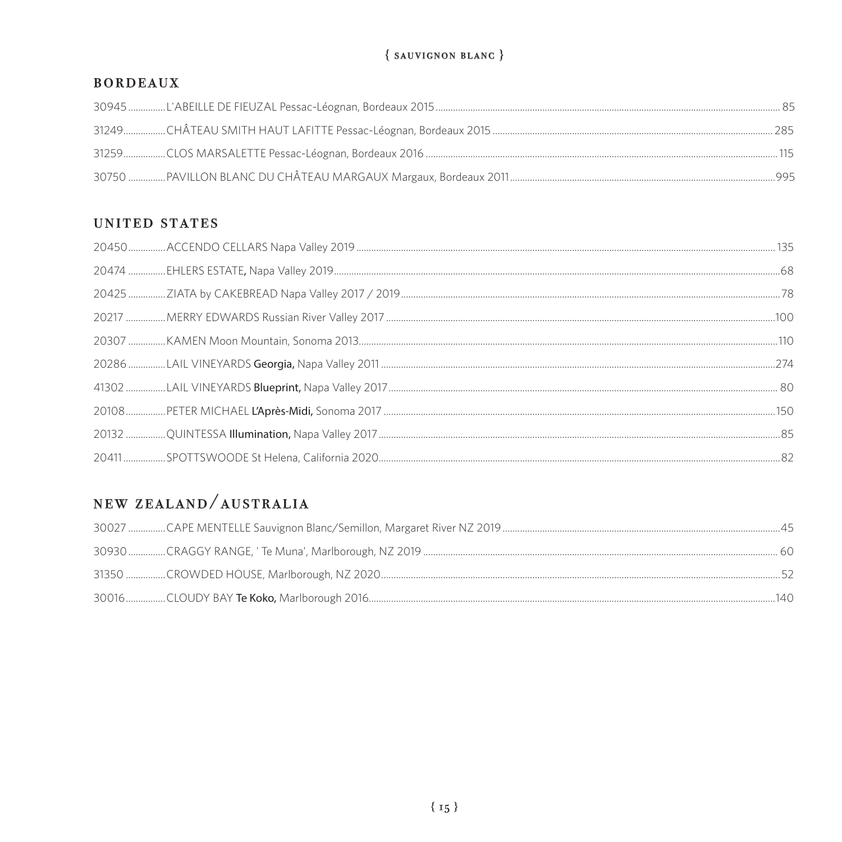# $\{$  SAUVIGNON BLANC  $\}$

#### **BORDEAUX**

#### UNITED STATES

# NEW ZEALAND/AUSTRALIA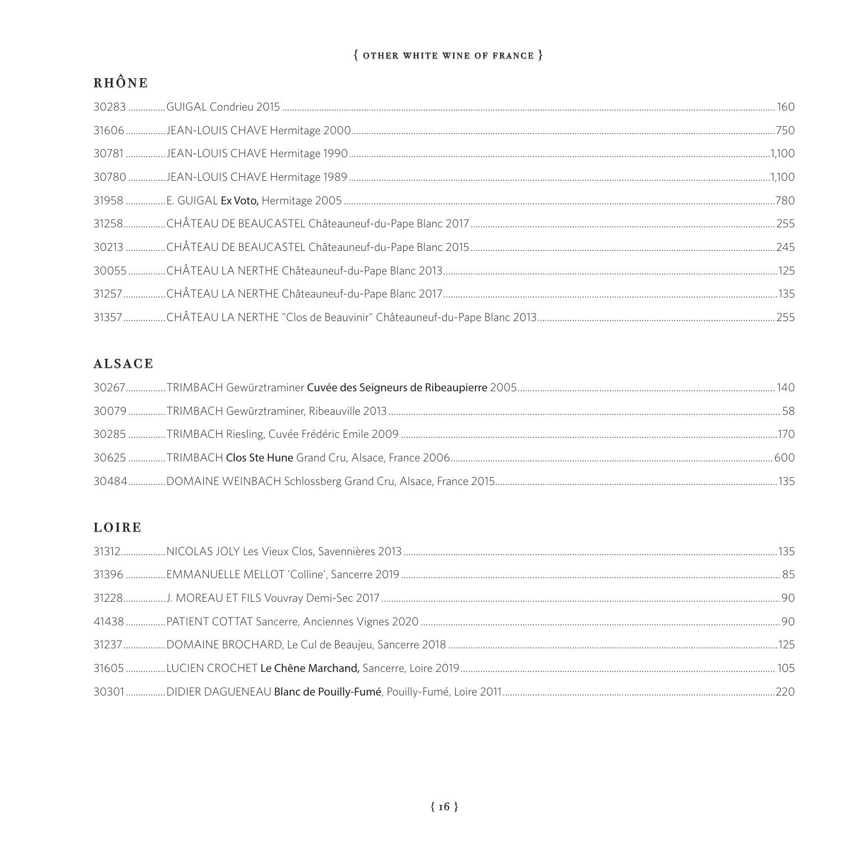#### ${$  other white wine of France  $}$

# RHÔNE

# **ALSACE**

# LOIRE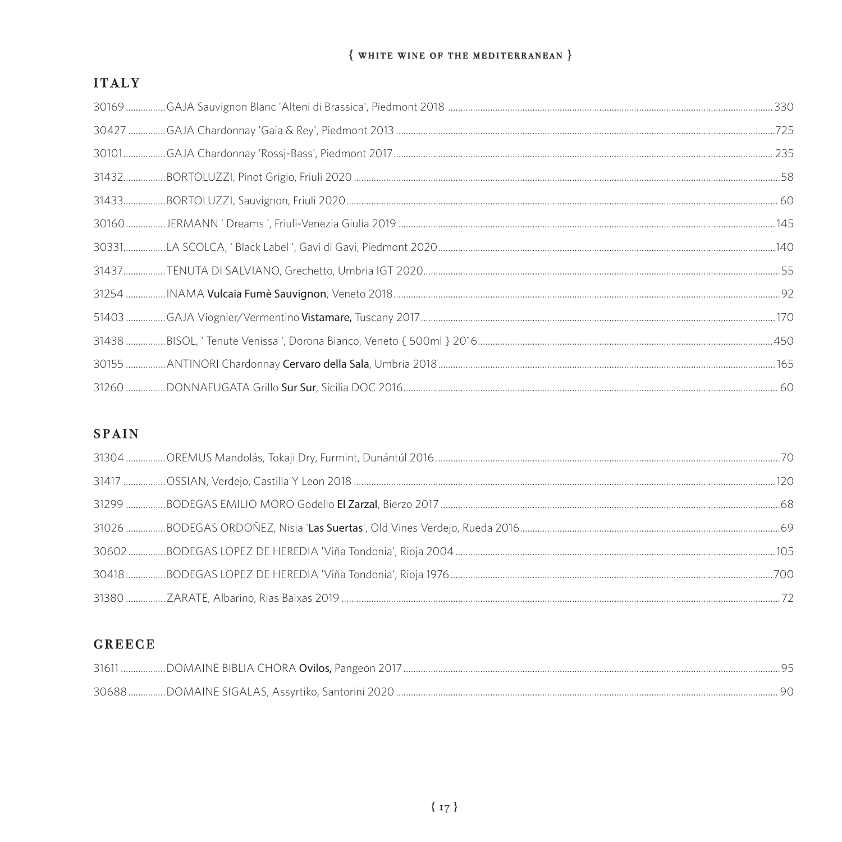#### $\{$  white wine of the mediterranean  $\}$

# **ITALY**

# **SPAIN**

# **GREECE**

| 30688DOMAINE SIGALAS, Assyrtiko, Santorini 2020 |  |
|-------------------------------------------------|--|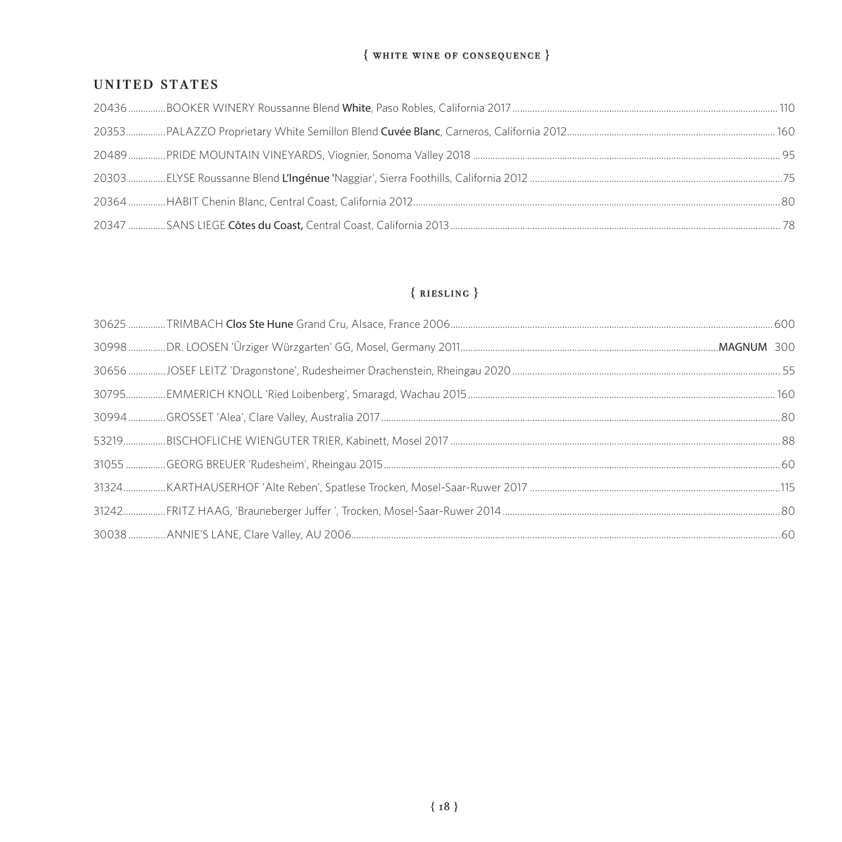#### $\{$  white wine of consequence  $\}$

#### **UNITED STATES**

# $\{RIESLING\}$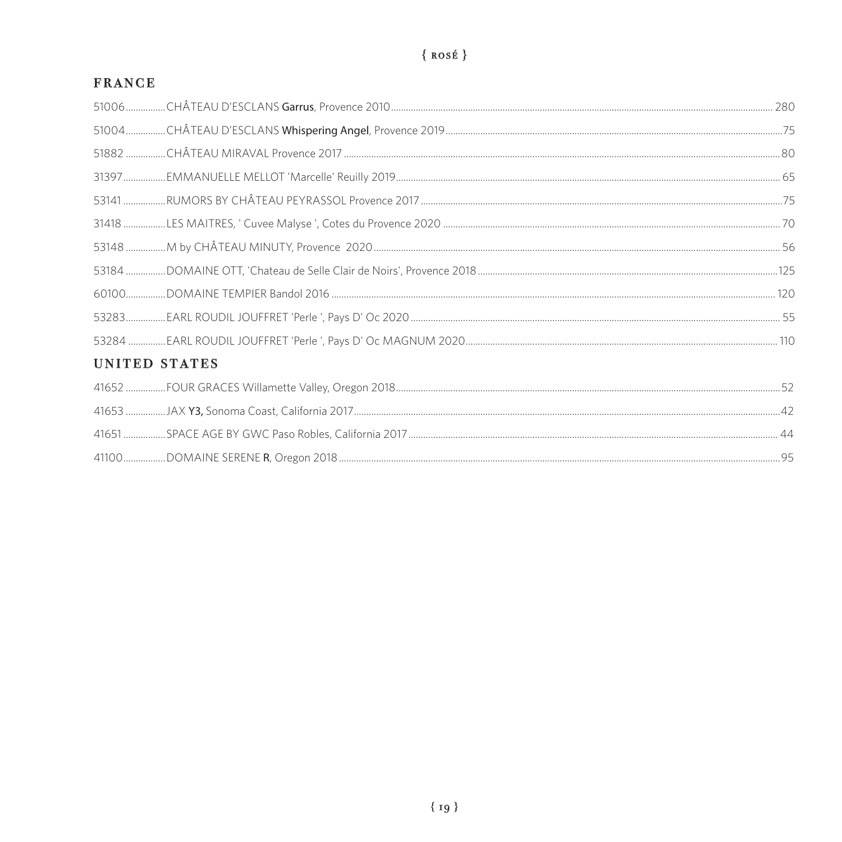# $\{rosé\}$

# **FRANCE**

| UNITED STATES |  |
|---------------|--|
|               |  |
|               |  |
|               |  |
|               |  |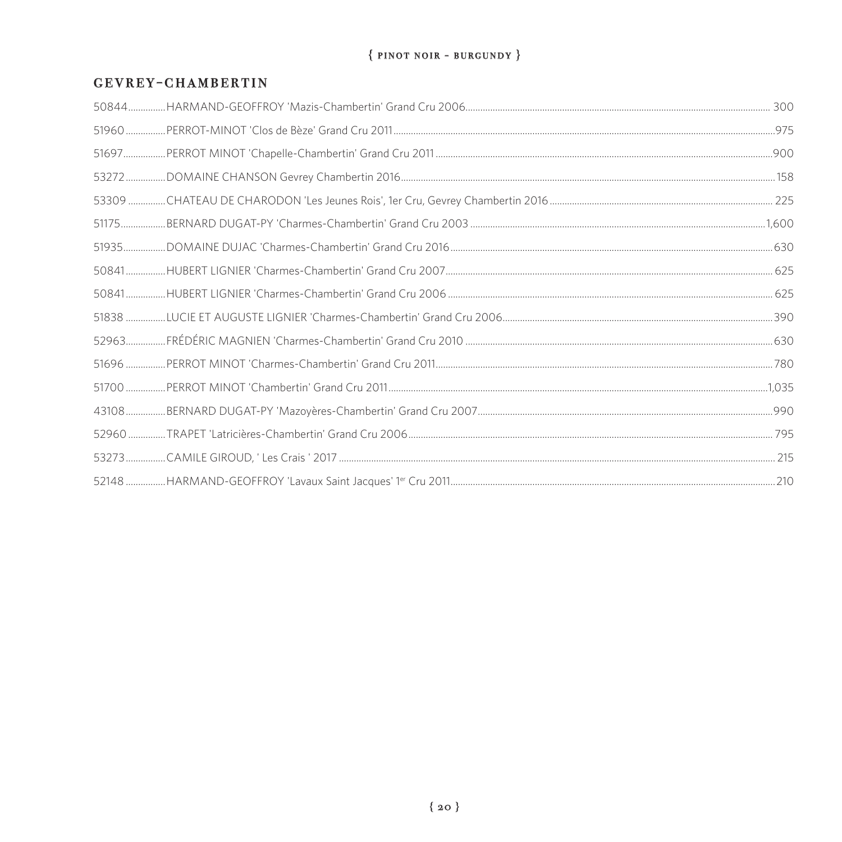#### ${PNOT NOT - BURGUNDY}$

#### **GEVREY-CHAMBERTIN**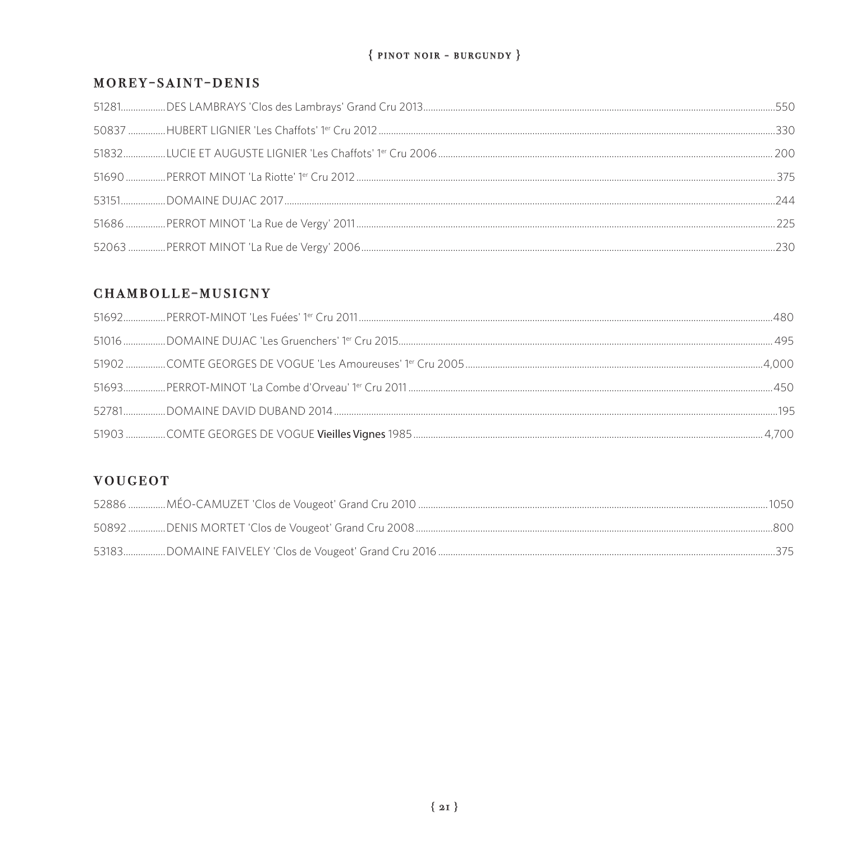#### ${PINOT NOR - BURGUNDY}$

#### MOREY-SAINT-DENIS

#### CHAMBOLLE-MUSIGNY

#### **VOUGEOT**

|  | -800 |
|--|------|
|  |      |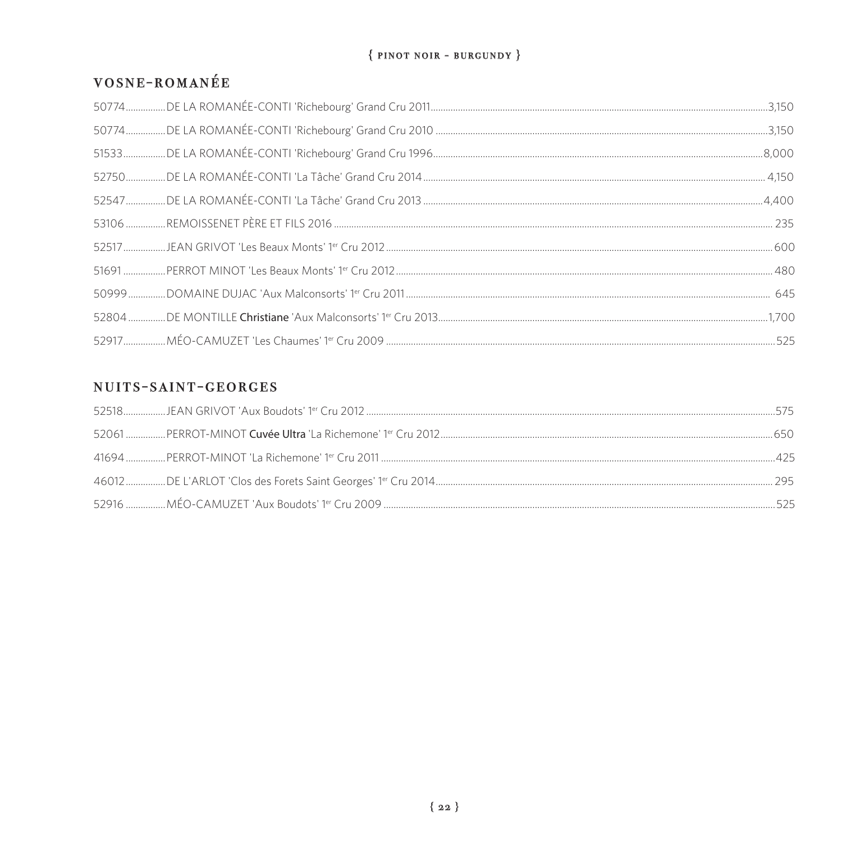### ${PINOT NOR - BURGUNDY}$

# VOSNE-ROMANÉE

# NUITS-SAINT-GEORGES

| 5/5   |
|-------|
| 650   |
|       |
| - 295 |
| 525   |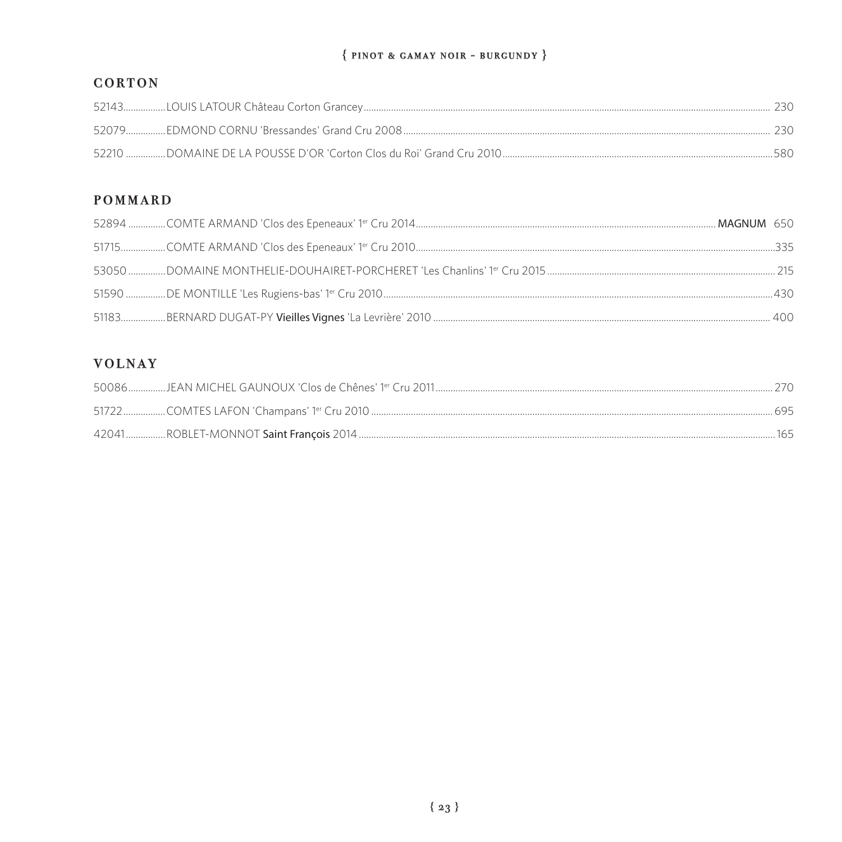#### $\{ PINOT & GAMAY NOIR - BURGUNDY \}$

# CORTON

|  | 730 |
|--|-----|
|  | 580 |

# **POMMARD**

# **VOLNAY**

|  | 2(1) |
|--|------|
|  |      |
|  | 165  |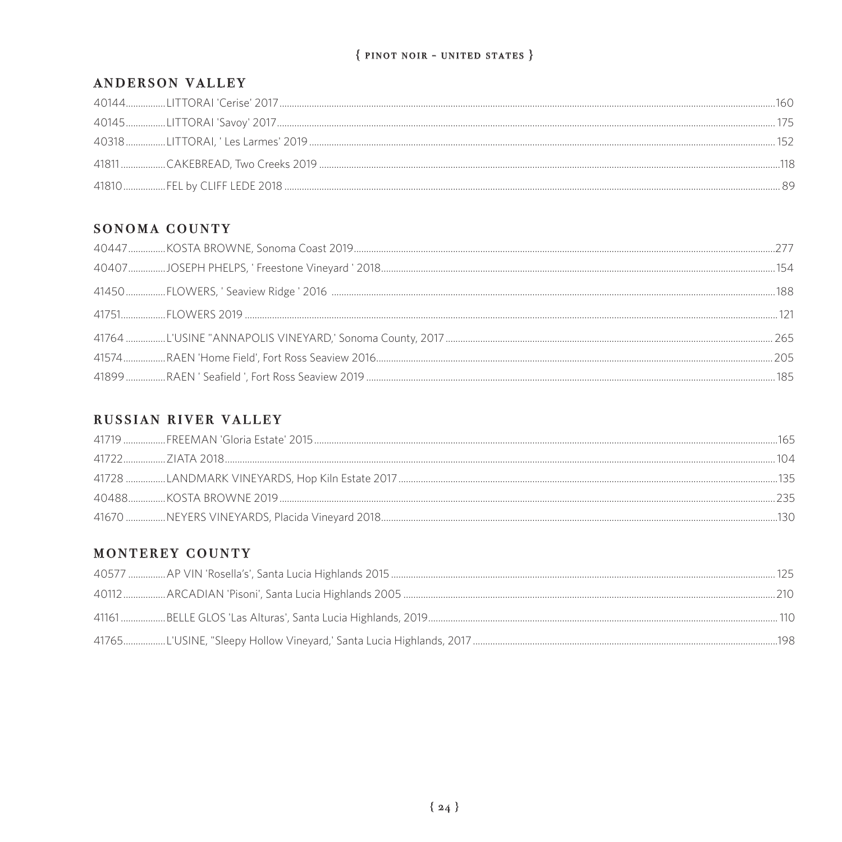#### ${$  PINOT NOIR - UNITED STATES  $}$

#### ANDERSON VALLEY

| ヨトン |  |
|-----|--|
|     |  |
|     |  |

#### SONOMA COUNTY

### RUSSIAN RIVER VALLEY

|  | 165 |
|--|-----|
|  |     |
|  | 135 |
|  |     |
|  | 130 |

### MONTEREY COUNTY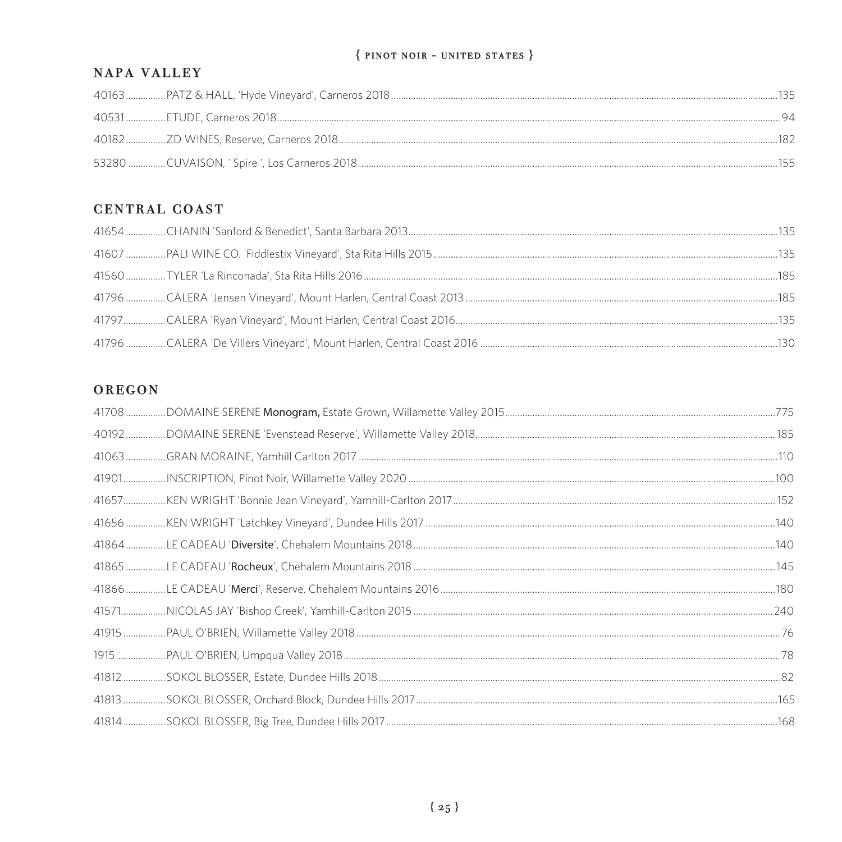#### ${$  PINOT NOIR - UNITED STATES  $}$

#### **NAPA VALLEY**

| 155 |
|-----|

# CENTRAL COAST

#### OREGON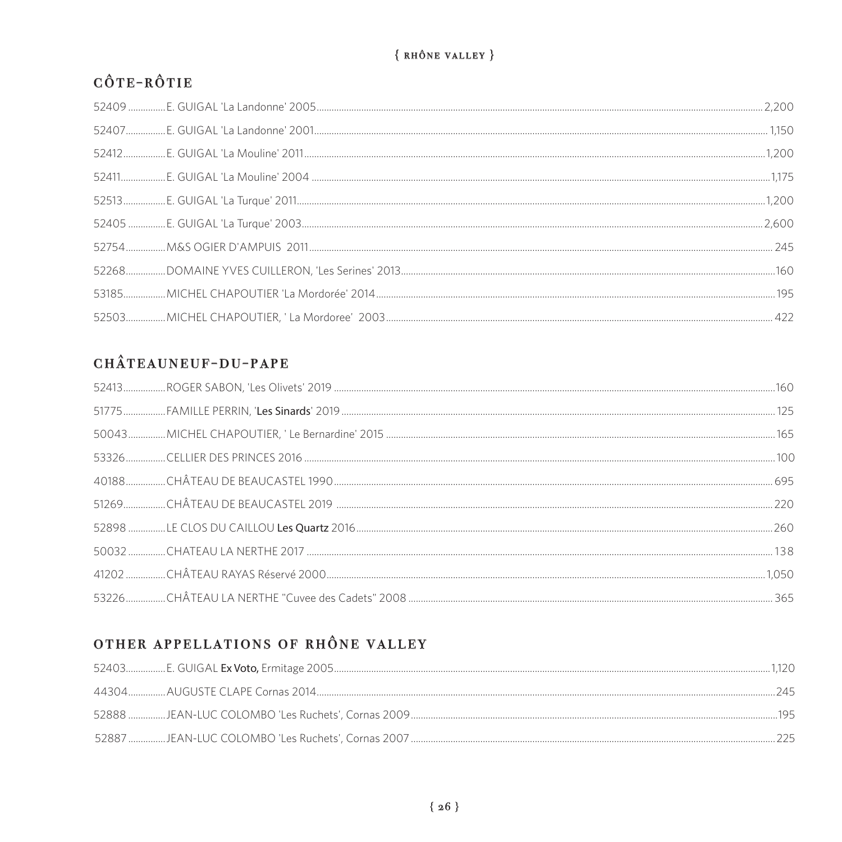# ${RH\text{\o}NE VALUEY}$

# CÔTE-RÔTIE

# CHÂTEAUNEUF-DU-PAPE

# OTHER APPELLATIONS OF RHÔNE VALLEY

| - 745 |  |
|-------|--|
|       |  |
|       |  |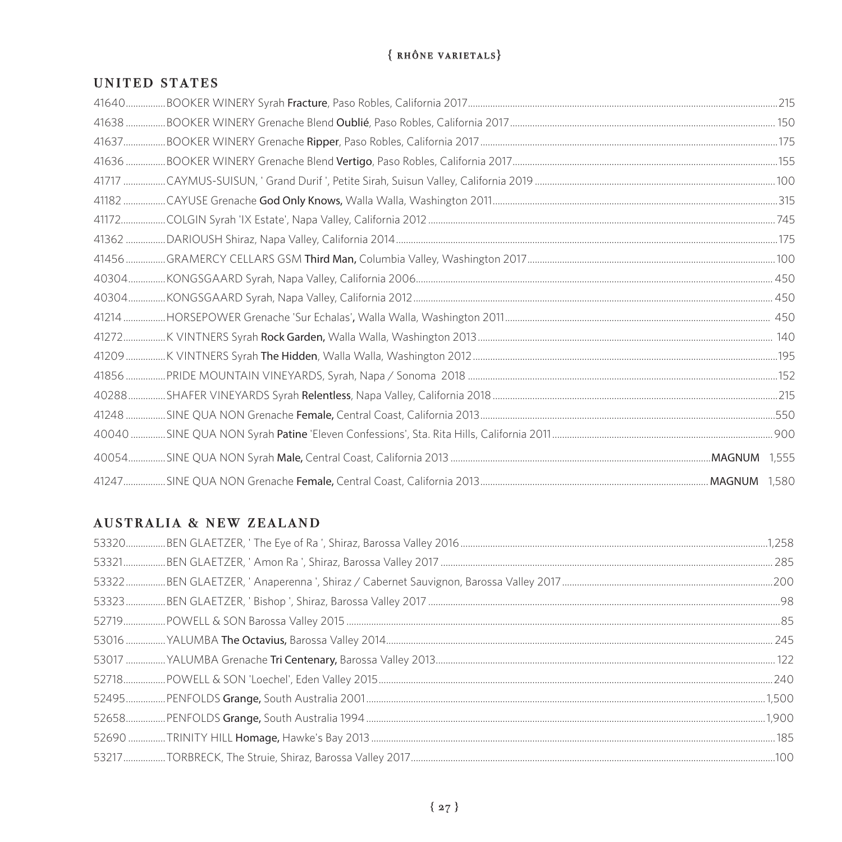# $\{RH\hat{O}NE VARIETALS\}$

#### UNITED STATES

### **AUSTRALIA & NEW ZEALAND**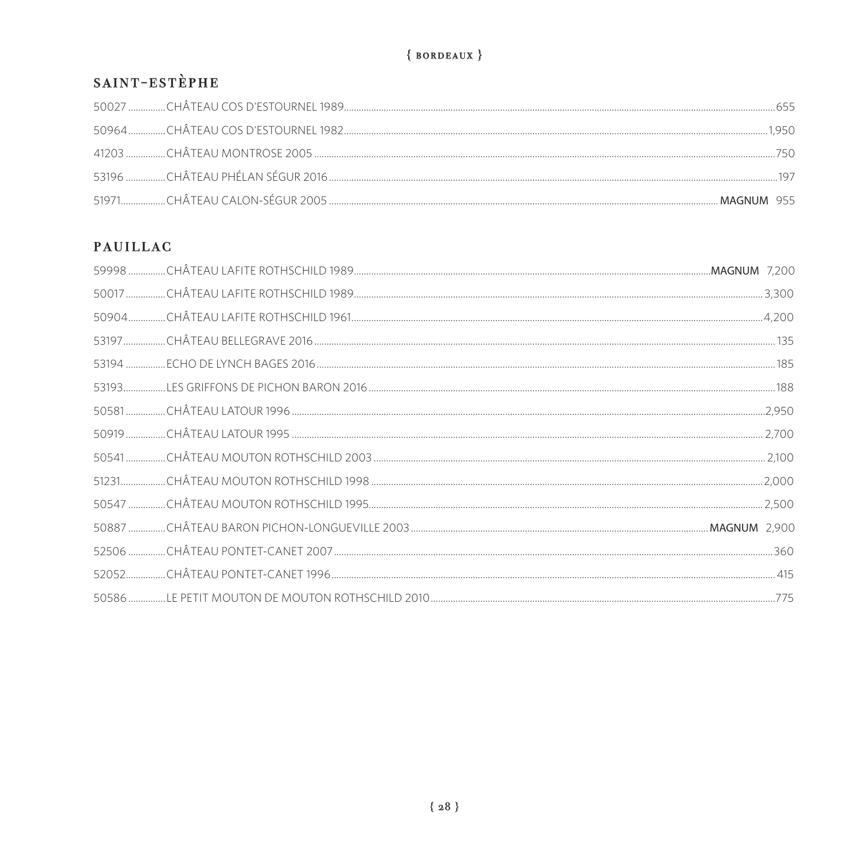# ${BORDEAUX}$

# SAINT-ESTÈPHE

| 750        |
|------------|
|            |
| MAGNUM 955 |

# **PAUILLAC**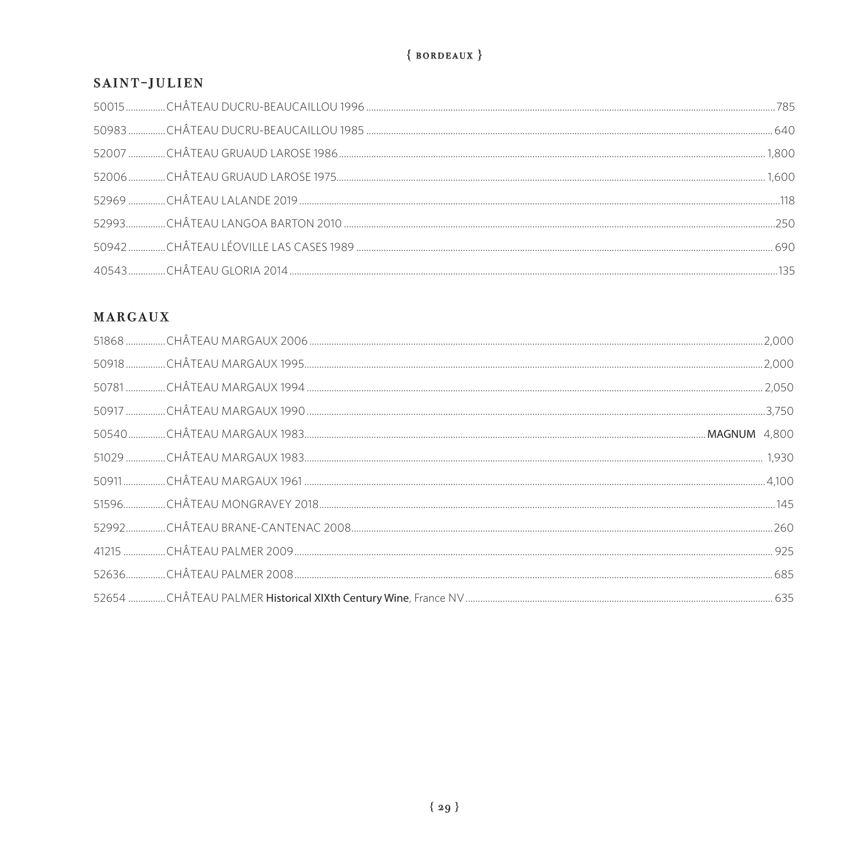# ${BORDEAUX}$

#### SAINT-JULIEN

# **MARGAUX**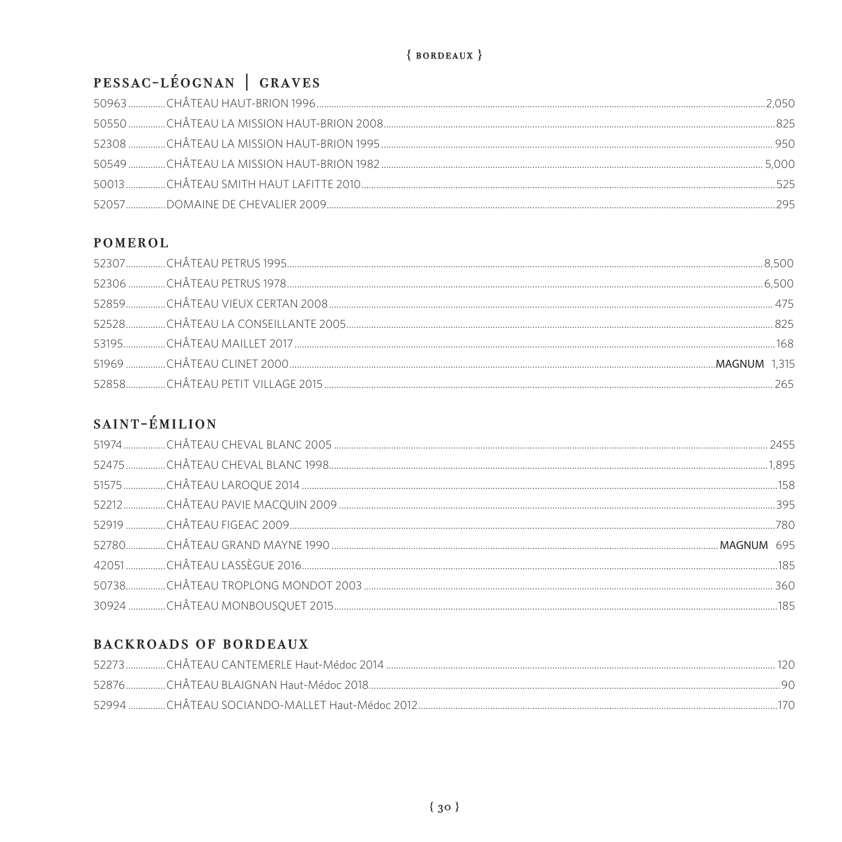# PESSAC-LÉOGNAN | GRAVES

| 525 |
|-----|
|     |

# POMEROL

# SAINT-ÉMILION

# **BACKROADS OF BORDEAUX**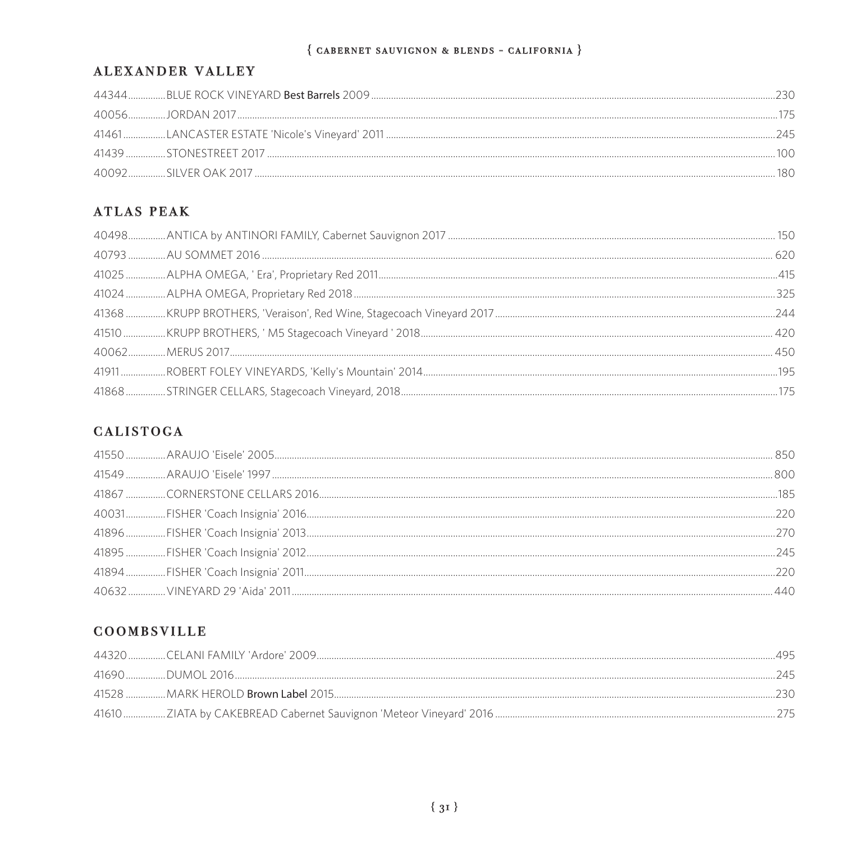# ALEXANDER VALLEY

|  | 1/5   |
|--|-------|
|  | - 245 |
|  |       |
|  |       |

# **ATLAS PEAK**

# **CALISTOGA**

## COOMBSVILLE

|  | 495. |
|--|------|
|  | フムト  |
|  | フィロー |
|  |      |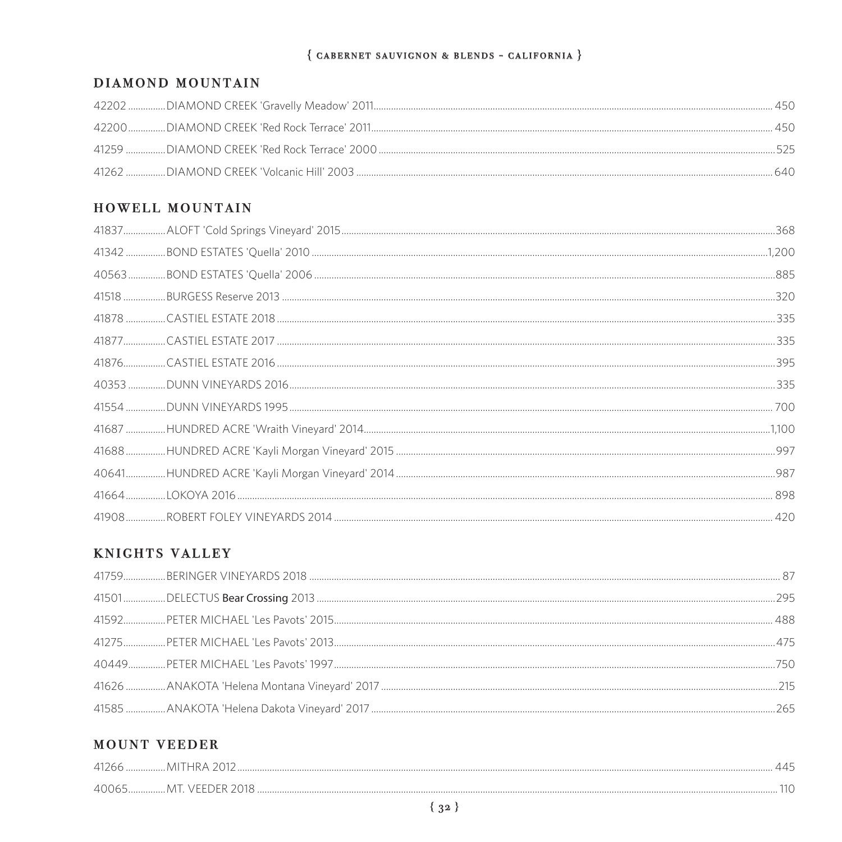#### DIAMOND MOUNTAIN

|  | 450  |
|--|------|
|  | 525  |
|  | 640. |

# HOWELL MOUNTAIN

### **KNIGHTS VALLEY**

#### **MOUNT VEEDER**

| $\Delta$ 0065 MT VEELL |  |
|------------------------|--|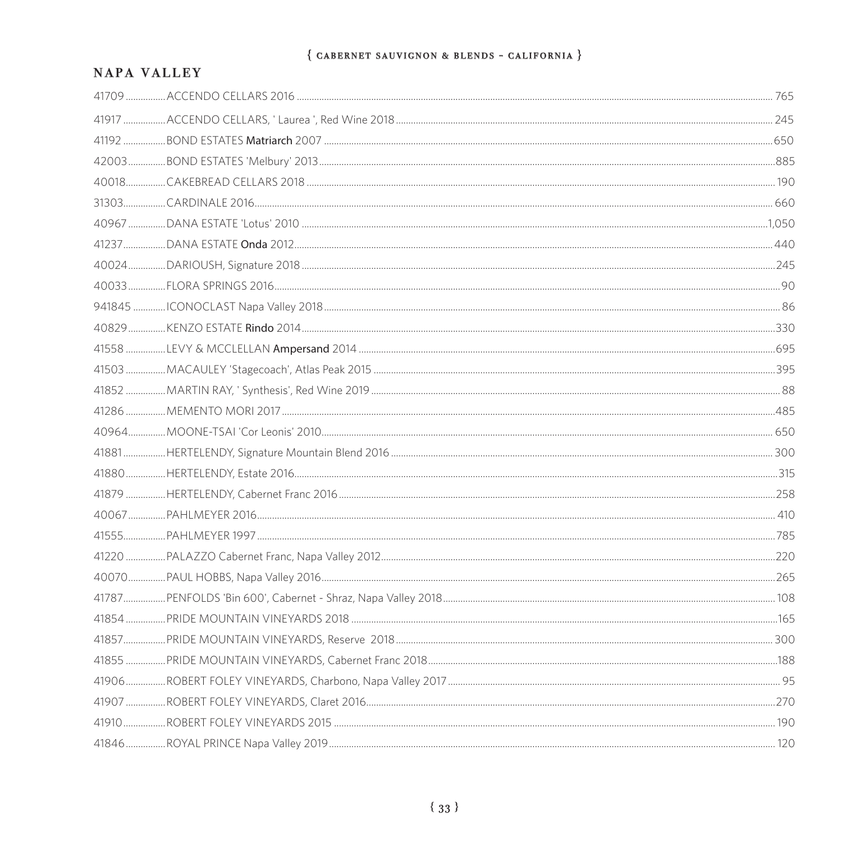# NAPA VALLEY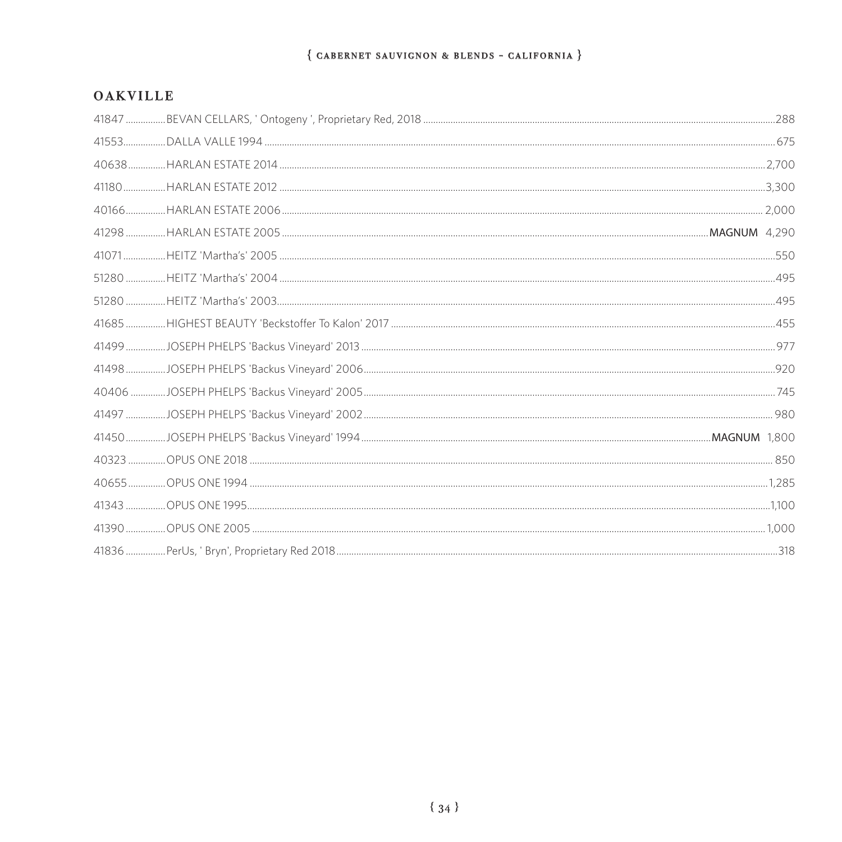#### **OAKVILLE**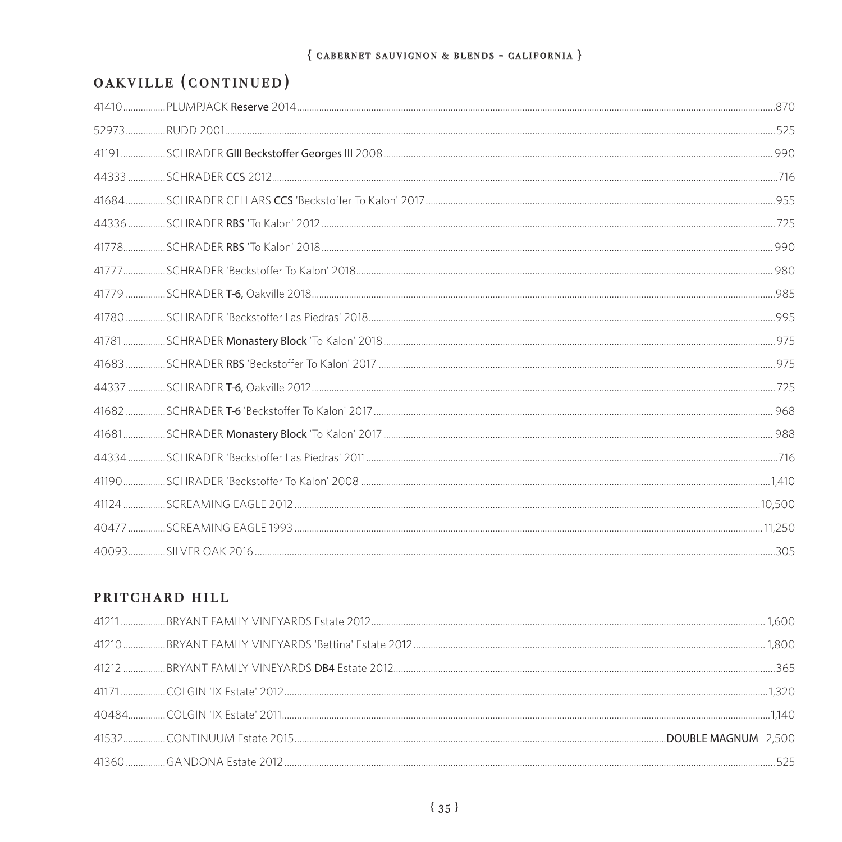# OAKVILLE (CONTINUED)

# PRITCHARD HILL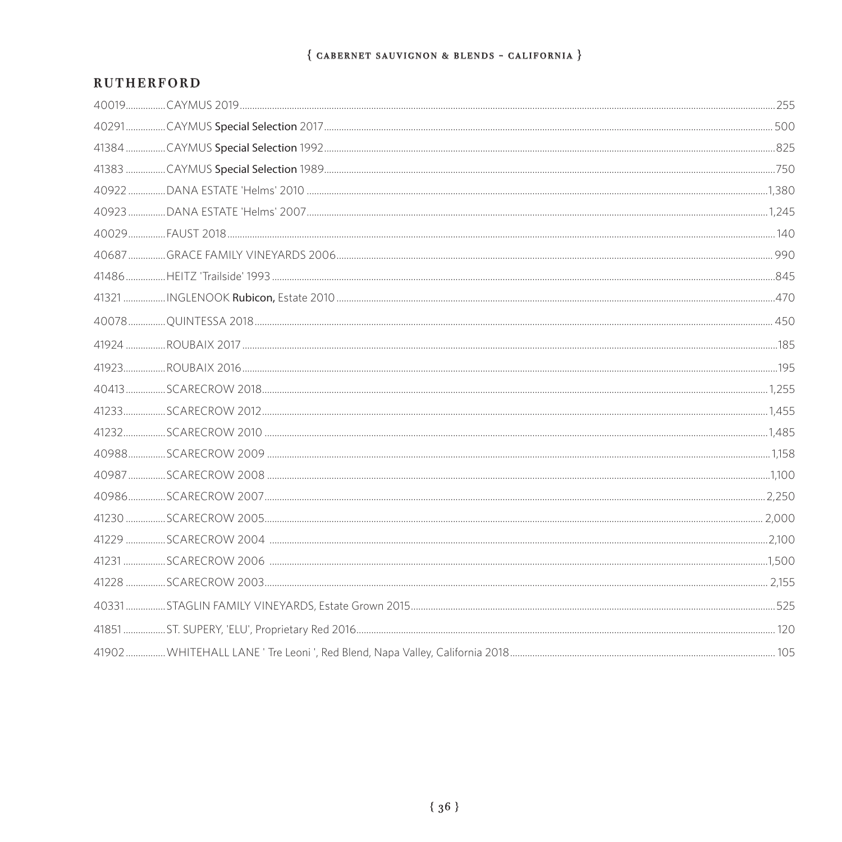#### **RUTHERFORD**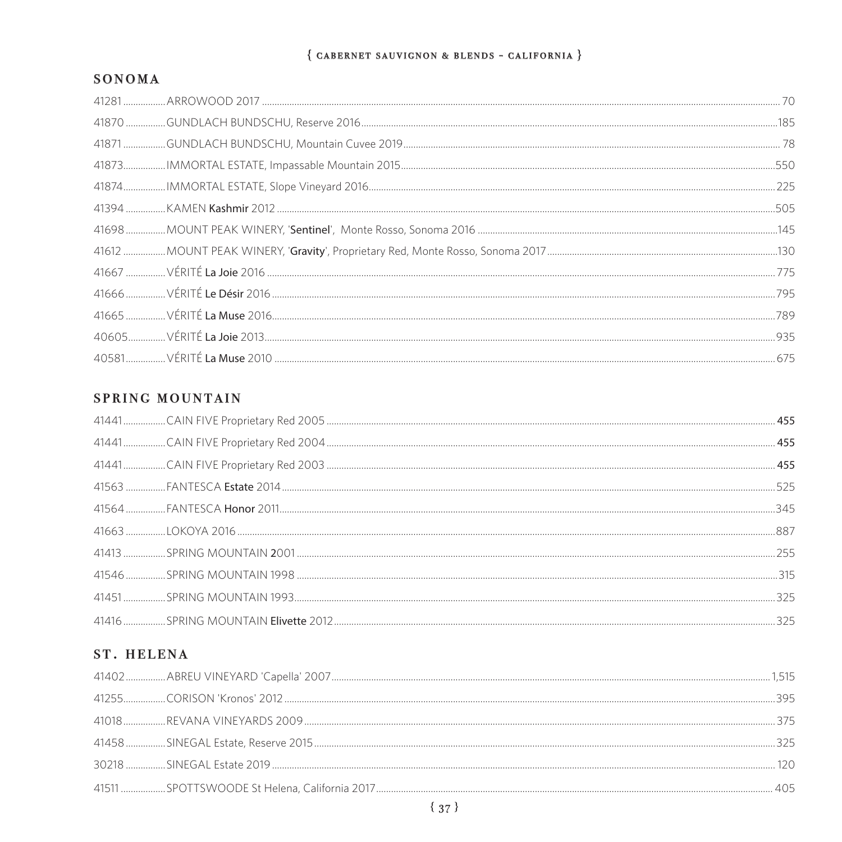#### SONOMA

# SPRING MOUNTAIN

| 455 |
|-----|
|     |
|     |
|     |
| 255 |
|     |
|     |
| 325 |

# ST. HELENA

|  | 375 |
|--|-----|
|  |     |
|  |     |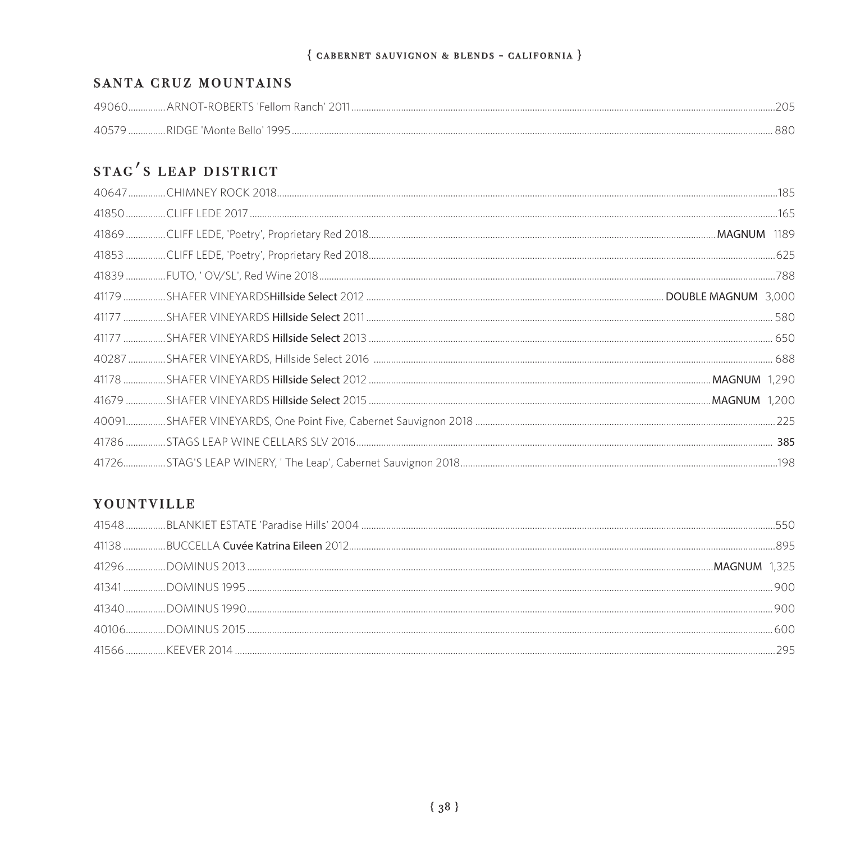#### SANTA CRUZ MOUNTAINS

| 49060  | ARNI)<br>10) I-ROKERT | IN FAILAM |  |
|--------|-----------------------|-----------|--|
| 4()5/9 | - RIDGE 'Monte Bello' |           |  |

# STAC'S LEAP DISTRICT

#### YOUNTVILLE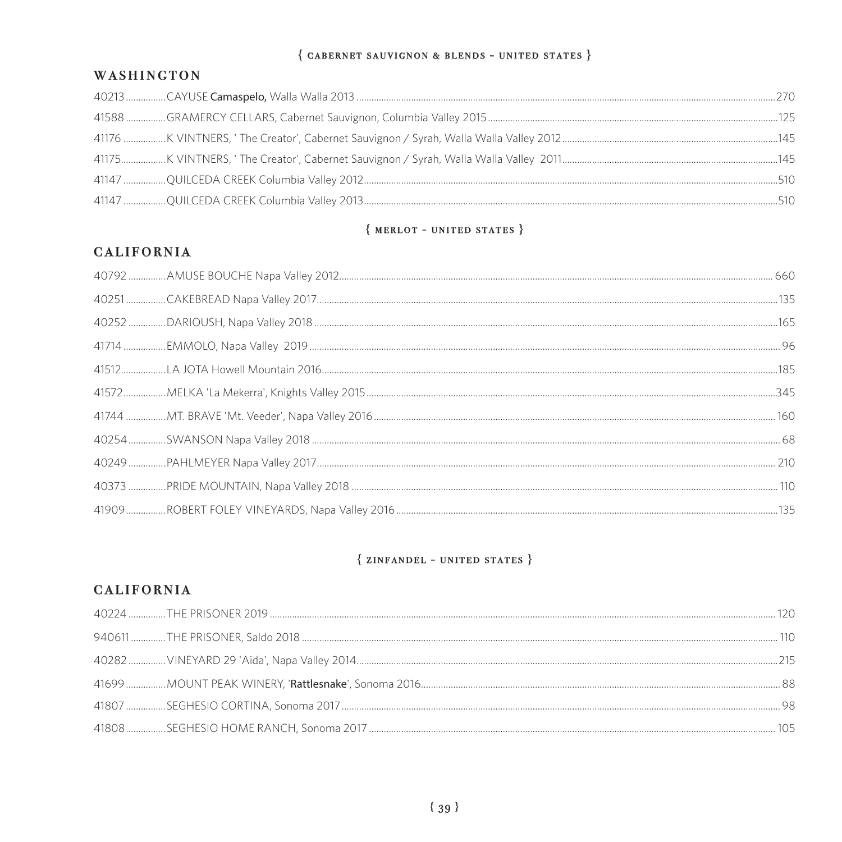#### $\{$  CABERNET SAUVIGNON & BLENDS - UNITED STATES  $\}$

#### WASHINGTON

# ${$  MERLOT - UNITED STATES  $}$

# **CALIFORNIA**

#### ${ZINFANDEL - UNITED STATES}$

# **CALIFORNIA**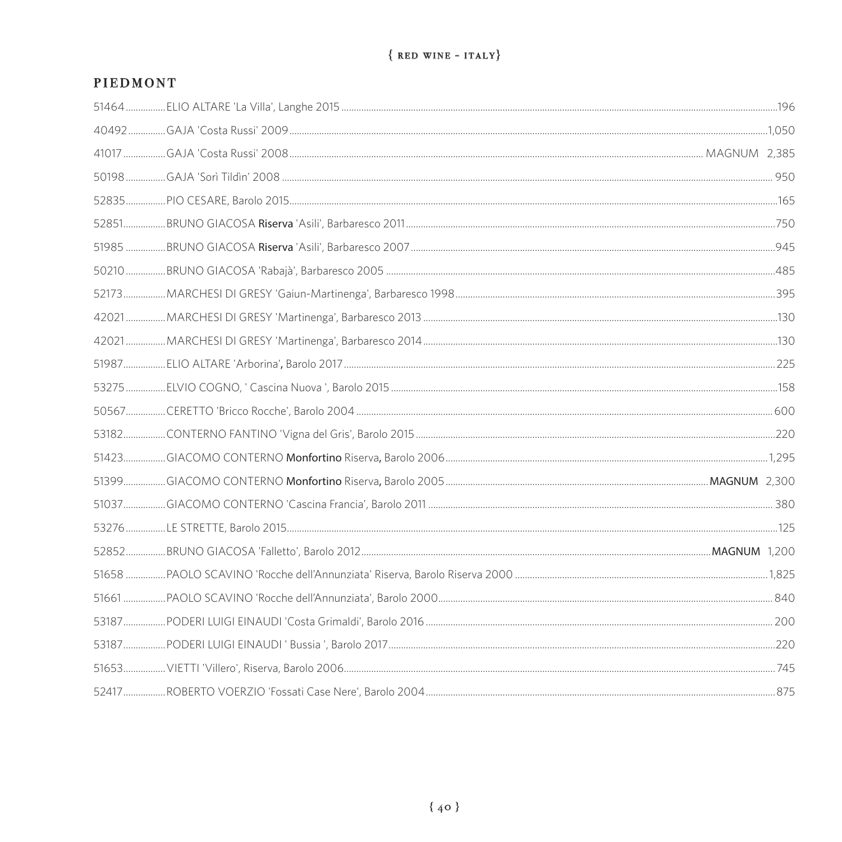### **PIEDMONT**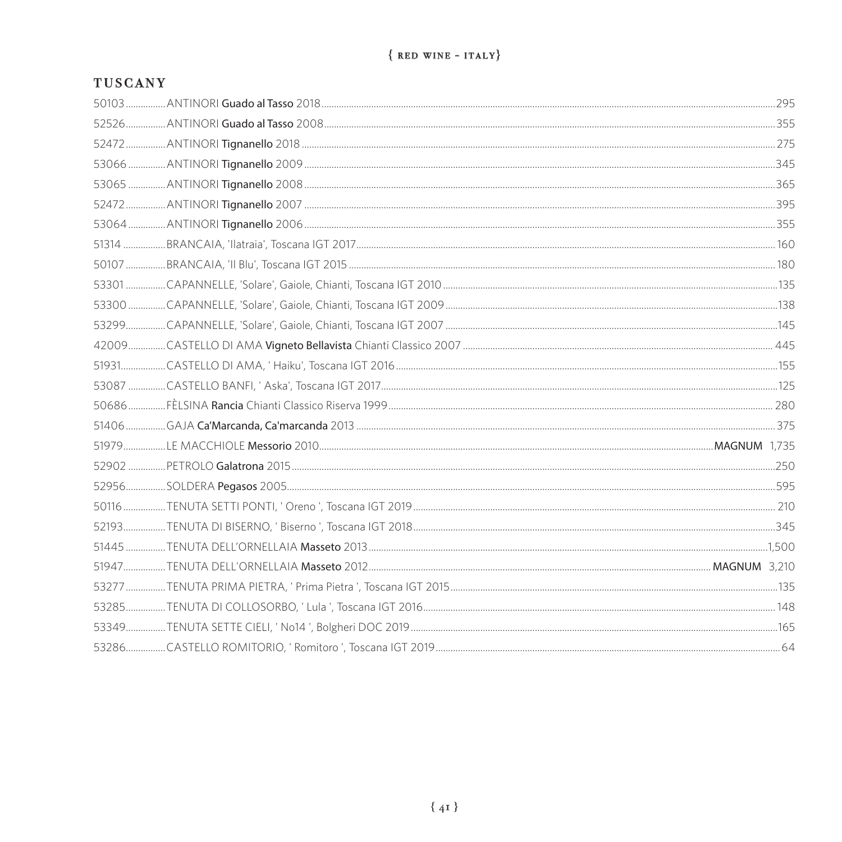# $\{$  RED WINE - ITALY}

## **TUSCANY**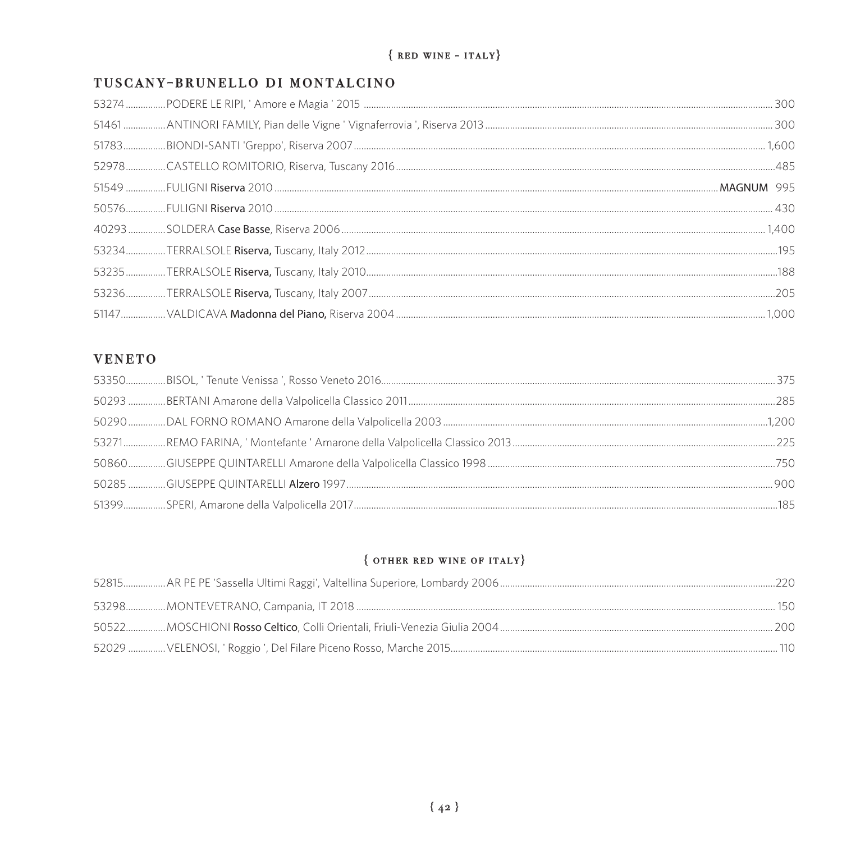# $\{$  RED WINE - ITALY}

#### TUSCANY-BRUNELLO DI MONTALCINO

#### **VENETO**

#### $\{$  other RED WINE OF ITALY $\}$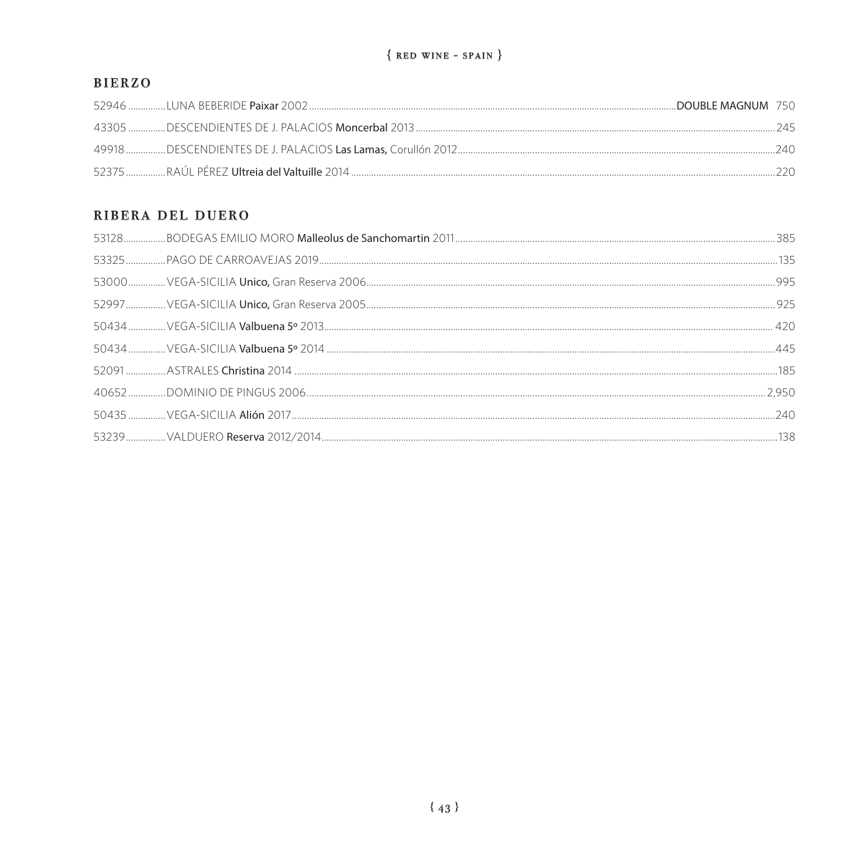#### **BIERZO**

| DOUBLE MAGNUM 750 |  |
|-------------------|--|
|                   |  |
|                   |  |
|                   |  |

#### RIBERA DEL DUERO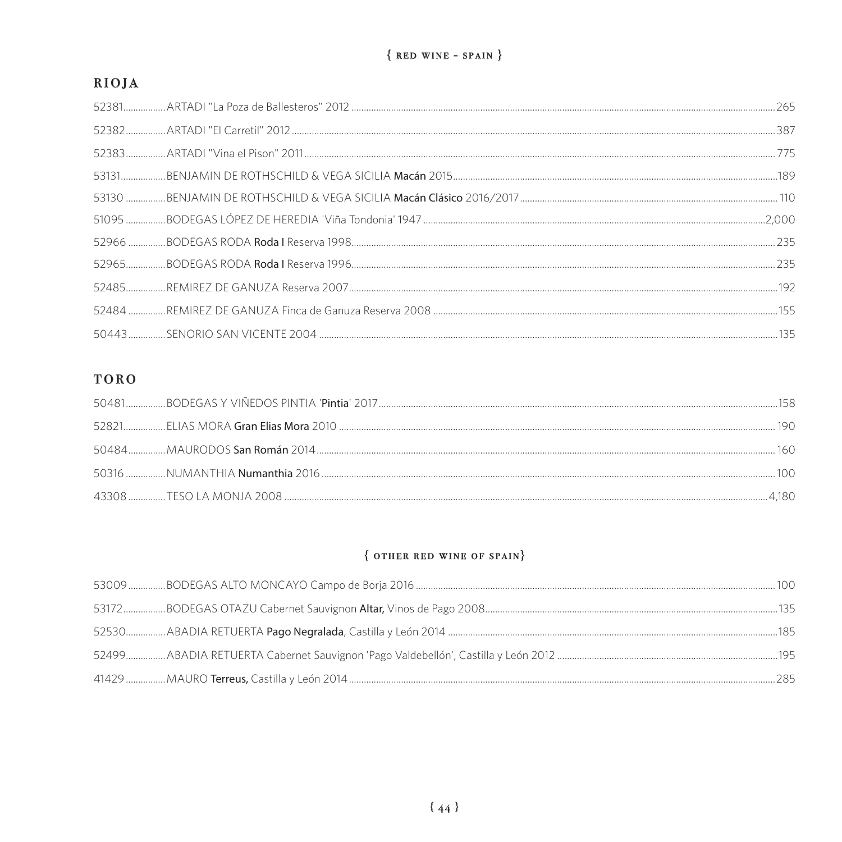# RIOJA

# **TORO**

|  | 190 |
|--|-----|
|  | 160 |
|  |     |
|  |     |

# $\{$  OTHER RED WINE OF SPAIN $\}$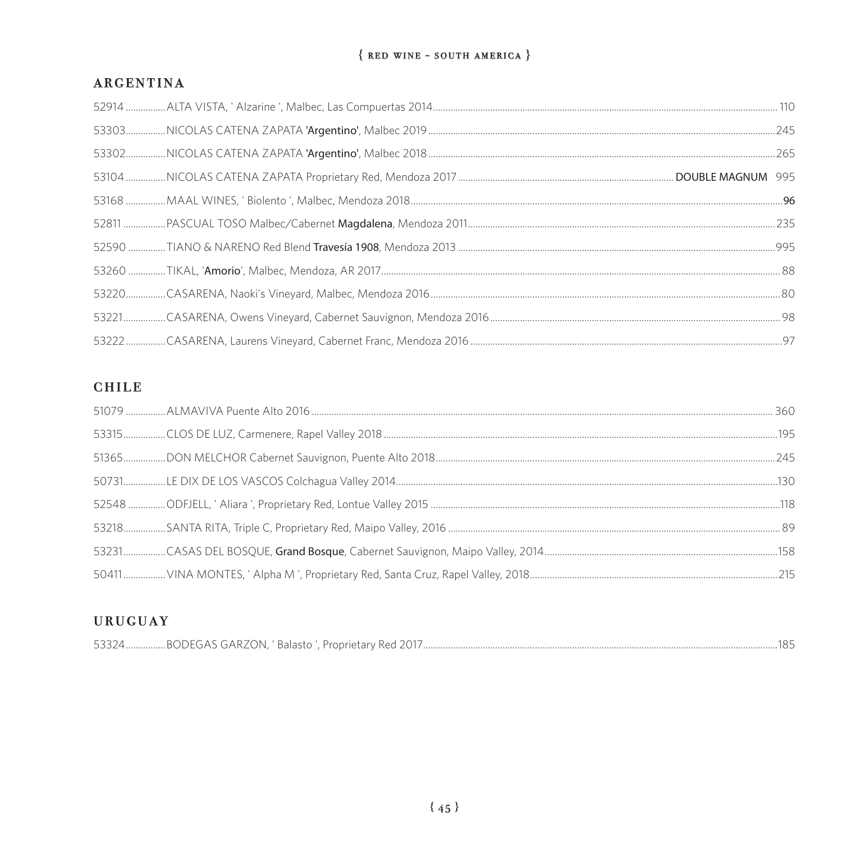#### $\{$  RED WINE - SOUTH AMERICA  $\}$

#### **ARGENTINA**

## **CHILE**

# **URUGUAY**

| $-0.00$<br>1O <sub>2</sub><br>4BODEGAS GARZON.<br>' Balasto i<br>$\bigcap_{1}$<br>Proprietary<br>$\lambda$<br>53324<br>' Keu<br>∠درر |
|--------------------------------------------------------------------------------------------------------------------------------------|
|--------------------------------------------------------------------------------------------------------------------------------------|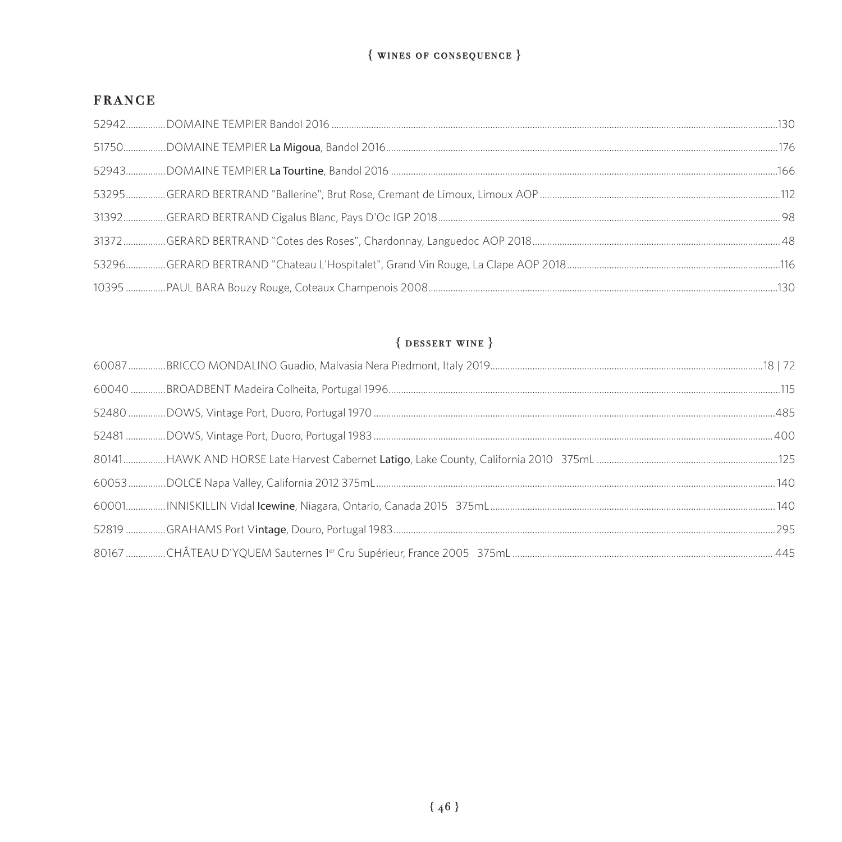#### ${$  wines of consequence  $}$

# **FRANCE**

# $\{$  DESSERT WINE  $\}$